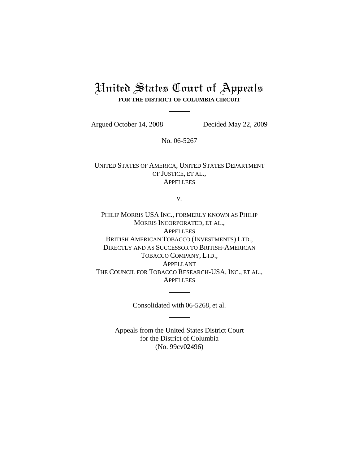# United States Court of Appeals **FOR THE DISTRICT OF COLUMBIA CIRCUIT**

Argued October 14, 2008 Decided May 22, 2009

No. 06-5267

UNITED STATES OF AMERICA, UNITED STATES DEPARTMENT OF JUSTICE, ET AL., **APPELLEES** 

v.

PHILIP MORRIS USA INC., FORMERLY KNOWN AS PHILIP MORRIS INCORPORATED, ET AL., **APPELLEES** BRITISH AMERICAN TOBACCO (INVESTMENTS) LTD., DIRECTLY AND AS SUCCESSOR TO BRITISH-AMERICAN TOBACCO COMPANY, LTD., APPELLANT THE COUNCIL FOR TOBACCO RESEARCH-USA, INC., ET AL., **APPELLEES** 

Consolidated with 06-5268, et al.

Appeals from the United States District Court for the District of Columbia (No. 99cv02496)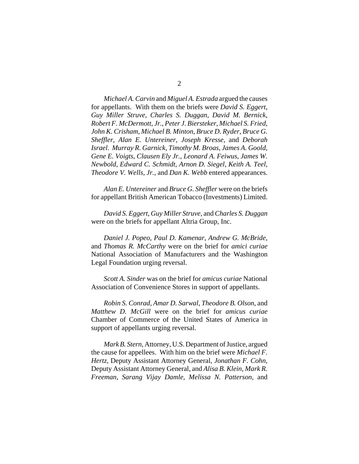2

*Michael A. Carvin* and *Miguel A. Estrada* argued the causes for appellants. With them on the briefs were *David S. Eggert*, *Guy Miller Struve*, *Charles S. Duggan*, *David M. Bernick*, *Robert F. McDermott, Jr.*, *Peter J. Biersteker*, *Michael S. Fried*, *John K. Crisham*, *Michael B. Minton*, *Bruce D. Ryder*, *Bruce G. Sheffler*, *Alan E. Untereiner*, *Joseph Kresse*, and *Deborah Israel*. *Murray R. Garnick*, *Timothy M. Broas*, *James A. Goold*, *Gene E. Voigts*, *Clausen Ely Jr.*, *Leonard A. Feiwus*, *James W. Newbold*, *Edward C. Schmidt*, *Arnon D. Siegel*, *Keith A. Teel*, *Theodore V. Wells, Jr.*, and *Dan K. Webb* entered appearances.

*Alan E. Untereiner* and *Bruce G. Sheffler* were on the briefs for appellant British American Tobacco (Investments) Limited.

*David S. Eggert*, *Guy Miller Struve*, and *Charles S. Duggan* were on the briefs for appellant Altria Group, Inc.

*Daniel J. Popeo*, *Paul D. Kamenar*, *Andrew G. McBride*, and *Thomas R. McCarthy* were on the brief for *amici curiae* National Association of Manufacturers and the Washington Legal Foundation urging reversal.

*Scott A. Sinder* was on the brief for *amicus curiae* National Association of Convenience Stores in support of appellants.

*Robin S. Conrad*, *Amar D. Sarwal*, *Theodore B. Olson*, and *Matthew D. McGill* were on the brief for *amicus curiae* Chamber of Commerce of the United States of America in support of appellants urging reversal.

*Mark B. Stern*, Attorney, U.S. Department of Justice, argued the cause for appellees. With him on the brief were *Michael F. Hertz*, Deputy Assistant Attorney General, *Jonathan F. Cohn*, Deputy Assistant Attorney General, and *Alisa B. Klein*, *Mark R. Freeman*, *Sarang Vijay Damle*, *Melissa N. Patterson*, and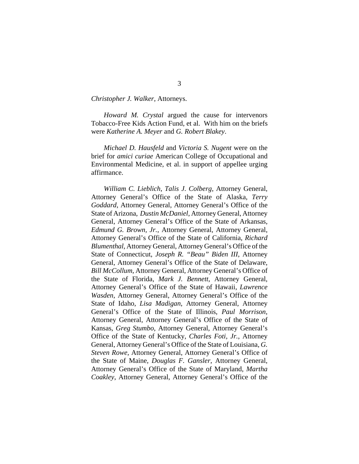*Christopher J. Walker*, Attorneys.

*Howard M. Crystal* argued the cause for intervenors Tobacco-Free Kids Action Fund, et al. With him on the briefs were *Katherine A. Meyer* and *G. Robert Blakey*.

*Michael D. Hausfeld* and *Victoria S. Nugent* were on the brief for *amici curiae* American College of Occupational and Environmental Medicine, et al. in support of appellee urging affirmance.

*William C. Lieblich*, *Talis J. Colberg*, Attorney General, Attorney General's Office of the State of Alaska, *Terry Goddard*, Attorney General, Attorney General's Office of the State of Arizona, *Dustin McDaniel*, Attorney General, Attorney General, Attorney General's Office of the State of Arkansas, *Edmund G. Brown, Jr.*, Attorney General, Attorney General, Attorney General's Office of the State of California, *Richard Blumenthal*, Attorney General, Attorney General's Office of the State of Connecticut, *Joseph R. "Beau" Biden III*, Attorney General, Attorney General's Office of the State of Delaware, *Bill McCollum*, Attorney General, Attorney General's Office of the State of Florida, *Mark J. Bennett*, Attorney General, Attorney General's Office of the State of Hawaii, *Lawrence Wasden*, Attorney General, Attorney General's Office of the State of Idaho, *Lisa Madigan*, Attorney General, Attorney General's Office of the State of Illinois, *Paul Morrison*, Attorney General, Attorney General's Office of the State of Kansas, *Greg Stumbo*, Attorney General, Attorney General's Office of the State of Kentucky, *Charles Foti, Jr.*, Attorney General, Attorney General's Office of the State of Louisiana, *G. Steven Rowe*, Attorney General, Attorney General's Office of the State of Maine, *Douglas F. Gansler*, Attorney General, Attorney General's Office of the State of Maryland, *Martha Coakley*, Attorney General, Attorney General's Office of the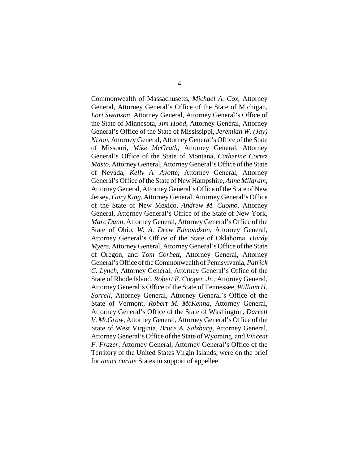Commonwealth of Massachusetts, *Michael A. Cox*, Attorney General, Attorney General's Office of the State of Michigan, *Lori Swanson*, Attorney General, Attorney General's Office of the State of Minnesota, *Jim Hood*, Attorney General, Attorney General's Office of the State of Mississippi, *Jeremiah W. (Jay) Nixon*, Attorney General, Attorney General's Office of the State of Missouri, *Mike McGrath*, Attorney General, Attorney General's Office of the State of Montana, *Catherine Cortez Masto*, Attorney General, Attorney General's Office of the State of Nevada, *Kelly A. Ayotte*, Attorney General, Attorney General's Office of the State of New Hampshire, *Anne Milgram*, Attorney General, Attorney General's Office of the State of New Jersey, *Gary King*, Attorney General, Attorney General's Office of the State of New Mexico, *Andrew M. Cuomo*, Attorney General, Attorney General's Office of the State of New York, *Marc Dann*, Attorney General, Attorney General's Office of the State of Ohio, *W. A. Drew Edmondson*, Attorney General, Attorney General's Office of the State of Oklahoma, *Hardy Myers*, Attorney General, Attorney General's Office of the State of Oregon, and *Tom Corbett*, Attorney General, Attorney General's Office of the Commonwealth of Pennsylvania, *Patrick C. Lynch*, Attorney General, Attorney General's Office of the State of Rhode Island, *Robert E. Cooper, Jr.*, Attorney General, Attorney General's Office of the State of Tennessee, *William H. Sorrell*, Attorney General, Attorney General's Office of the State of Vermont, *Robert M. McKenna*, Attorney General, Attorney General's Office of the State of Washington, *Darrell V. McGraw*, Attorney General, Attorney General's Office of the State of West Virginia, *Bruce A. Salzburg*, Attorney General, Attorney General's Office of the State of Wyoming, and *Vincent F. Frazer*, Attorney General, Attorney General's Office of the Territory of the United States Virgin Islands, were on the brief for *amici curiae* States in support of appellee.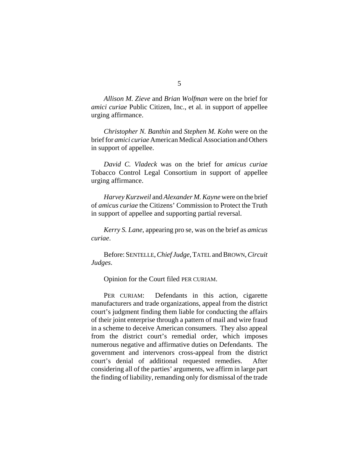*Allison M. Zieve* and *Brian Wolfman* were on the brief for *amici curiae* Public Citizen, Inc., et al. in support of appellee urging affirmance.

*Christopher N. Banthin* and *Stephen M. Kohn* were on the brief for *amici curiae* American Medical Association and Others in support of appellee.

*David C. Vladeck* was on the brief for *amicus curiae* Tobacco Control Legal Consortium in support of appellee urging affirmance.

*Harvey Kurzweil* and *Alexander M. Kayne* were on the brief of *amicus curiae* the Citizens' Commission to Protect the Truth in support of appellee and supporting partial reversal.

*Kerry S. Lane*, appearing pro se, was on the brief as *amicus curiae*.

Before: SENTELLE, *Chief Judge*, TATEL and BROWN, *Circuit Judges*.

Opinion for the Court filed PER CURIAM.

PER CURIAM: Defendants in this action, cigarette manufacturers and trade organizations, appeal from the district court's judgment finding them liable for conducting the affairs of their joint enterprise through a pattern of mail and wire fraud in a scheme to deceive American consumers. They also appeal from the district court's remedial order, which imposes numerous negative and affirmative duties on Defendants. The government and intervenors cross-appeal from the district court's denial of additional requested remedies. After considering all of the parties' arguments, we affirm in large part the finding of liability, remanding only for dismissal of the trade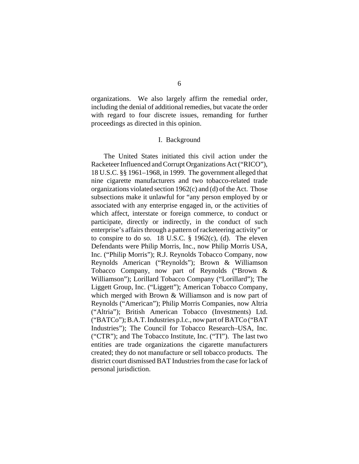organizations. We also largely affirm the remedial order, including the denial of additional remedies, but vacate the order with regard to four discrete issues, remanding for further proceedings as directed in this opinion.

## I. Background

The United States initiated this civil action under the Racketeer Influenced and Corrupt Organizations Act ("RICO"), 18 U.S.C. §§ 1961–1968, in 1999. The government alleged that nine cigarette manufacturers and two tobacco-related trade organizations violated section 1962(c) and (d) of the Act. Those subsections make it unlawful for "any person employed by or associated with any enterprise engaged in, or the activities of which affect, interstate or foreign commerce, to conduct or participate, directly or indirectly, in the conduct of such enterprise's affairs through a pattern of racketeering activity" or to conspire to do so. 18 U.S.C.  $\S$  1962(c), (d). The eleven Defendants were Philip Morris, Inc., now Philip Morris USA, Inc. ("Philip Morris"); R.J. Reynolds Tobacco Company, now Reynolds American ("Reynolds"); Brown & Williamson Tobacco Company, now part of Reynolds ("Brown & Williamson"); Lorillard Tobacco Company ("Lorillard"); The Liggett Group, Inc. ("Liggett"); American Tobacco Company, which merged with Brown & Williamson and is now part of Reynolds ("American"); Philip Morris Companies, now Altria ("Altria"); British American Tobacco (Investments) Ltd. ("BATCo"); B.A.T. Industries p.l.c., now part of BATCo ("BAT Industries"); The Council for Tobacco Research–USA, Inc. ("CTR"); and The Tobacco Institute, Inc. ("TI"). The last two entities are trade organizations the cigarette manufacturers created; they do not manufacture or sell tobacco products. The district court dismissed BAT Industries from the case for lack of personal jurisdiction.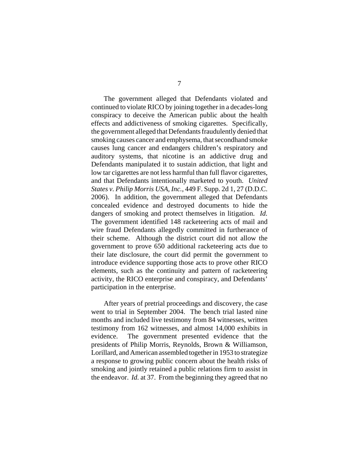The government alleged that Defendants violated and continued to violate RICO by joining together in a decades-long conspiracy to deceive the American public about the health effects and addictiveness of smoking cigarettes. Specifically, the government alleged that Defendants fraudulently denied that smoking causes cancer and emphysema, that secondhand smoke causes lung cancer and endangers children's respiratory and auditory systems, that nicotine is an addictive drug and Defendants manipulated it to sustain addiction, that light and low tar cigarettes are not less harmful than full flavor cigarettes, and that Defendants intentionally marketed to youth. *United States v. Philip Morris USA, Inc.*, 449 F. Supp. 2d 1, 27 (D.D.C. 2006). In addition, the government alleged that Defendants concealed evidence and destroyed documents to hide the dangers of smoking and protect themselves in litigation. *Id.* The government identified 148 racketeering acts of mail and wire fraud Defendants allegedly committed in furtherance of their scheme. Although the district court did not allow the government to prove 650 additional racketeering acts due to their late disclosure, the court did permit the government to introduce evidence supporting those acts to prove other RICO elements, such as the continuity and pattern of racketeering activity, the RICO enterprise and conspiracy, and Defendants' participation in the enterprise.

After years of pretrial proceedings and discovery, the case went to trial in September 2004. The bench trial lasted nine months and included live testimony from 84 witnesses, written testimony from 162 witnesses, and almost 14,000 exhibits in evidence. The government presented evidence that the presidents of Philip Morris, Reynolds, Brown & Williamson, Lorillard, and American assembled together in 1953 to strategize a response to growing public concern about the health risks of smoking and jointly retained a public relations firm to assist in the endeavor. *Id.* at 37. From the beginning they agreed that no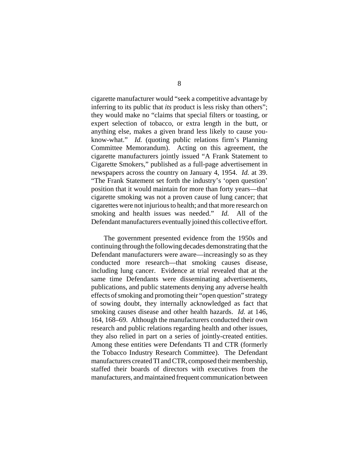cigarette manufacturer would "seek a competitive advantage by inferring to its public that *its* product is less risky than others"; they would make no "claims that special filters or toasting, or expert selection of tobacco, or extra length in the butt, or anything else, makes a given brand less likely to cause youknow-what." *Id.* (quoting public relations firm's Planning Committee Memorandum). Acting on this agreement, the cigarette manufacturers jointly issued "A Frank Statement to Cigarette Smokers," published as a full-page advertisement in newspapers across the country on January 4, 1954. *Id.* at 39. "The Frank Statement set forth the industry's 'open question' position that it would maintain for more than forty years—that cigarette smoking was not a proven cause of lung cancer; that cigarettes were not injurious to health; and that more research on smoking and health issues was needed." *Id.* All of the Defendant manufacturers eventually joined this collective effort.

The government presented evidence from the 1950s and continuing through the following decades demonstrating that the Defendant manufacturers were aware—increasingly so as they conducted more research—that smoking causes disease, including lung cancer. Evidence at trial revealed that at the same time Defendants were disseminating advertisements, publications, and public statements denying any adverse health effects of smoking and promoting their "open question" strategy of sowing doubt, they internally acknowledged as fact that smoking causes disease and other health hazards. *Id.* at 146, 164, 168–69. Although the manufacturers conducted their own research and public relations regarding health and other issues, they also relied in part on a series of jointly-created entities. Among these entities were Defendants TI and CTR (formerly the Tobacco Industry Research Committee). The Defendant manufacturers created TI and CTR, composed their membership, staffed their boards of directors with executives from the manufacturers, and maintained frequent communication between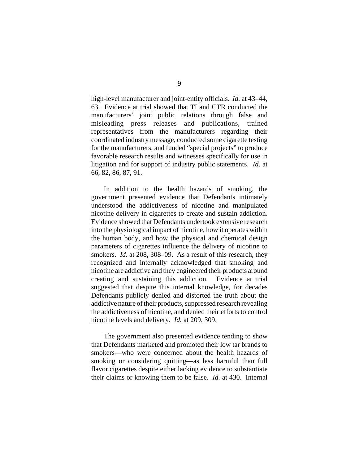high-level manufacturer and joint-entity officials. *Id.* at 43–44, 63. Evidence at trial showed that TI and CTR conducted the manufacturers' joint public relations through false and misleading press releases and publications, trained representatives from the manufacturers regarding their coordinated industry message, conducted some cigarette testing for the manufacturers, and funded "special projects" to produce favorable research results and witnesses specifically for use in litigation and for support of industry public statements. *Id.* at 66, 82, 86, 87, 91.

In addition to the health hazards of smoking, the government presented evidence that Defendants intimately understood the addictiveness of nicotine and manipulated nicotine delivery in cigarettes to create and sustain addiction. Evidence showed that Defendants undertook extensive research into the physiological impact of nicotine, how it operates within the human body, and how the physical and chemical design parameters of cigarettes influence the delivery of nicotine to smokers. *Id.* at 208, 308–09. As a result of this research, they recognized and internally acknowledged that smoking and nicotine are addictive and they engineered their products around creating and sustaining this addiction. Evidence at trial suggested that despite this internal knowledge, for decades Defendants publicly denied and distorted the truth about the addictive nature of their products, suppressed research revealing the addictiveness of nicotine, and denied their efforts to control nicotine levels and delivery. *Id.* at 209, 309.

The government also presented evidence tending to show that Defendants marketed and promoted their low tar brands to smokers—who were concerned about the health hazards of smoking or considering quitting—as less harmful than full flavor cigarettes despite either lacking evidence to substantiate their claims or knowing them to be false. *Id.* at 430. Internal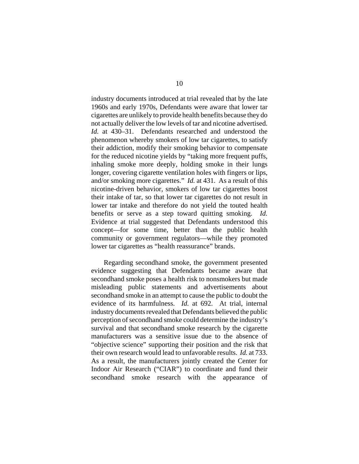industry documents introduced at trial revealed that by the late 1960s and early 1970s, Defendants were aware that lower tar cigarettes are unlikely to provide health benefits because they do not actually deliver the low levels of tar and nicotine advertised. *Id.* at 430–31. Defendants researched and understood the phenomenon whereby smokers of low tar cigarettes, to satisfy their addiction, modify their smoking behavior to compensate for the reduced nicotine yields by "taking more frequent puffs, inhaling smoke more deeply, holding smoke in their lungs longer, covering cigarette ventilation holes with fingers or lips, and/or smoking more cigarettes." *Id.* at 431. As a result of this nicotine-driven behavior, smokers of low tar cigarettes boost their intake of tar, so that lower tar cigarettes do not result in lower tar intake and therefore do not yield the touted health benefits or serve as a step toward quitting smoking. *Id.* Evidence at trial suggested that Defendants understood this concept—for some time, better than the public health community or government regulators—while they promoted lower tar cigarettes as "health reassurance" brands.

Regarding secondhand smoke, the government presented evidence suggesting that Defendants became aware that secondhand smoke poses a health risk to nonsmokers but made misleading public statements and advertisements about secondhand smoke in an attempt to cause the public to doubt the evidence of its harmfulness. *Id.* at 692. At trial, internal industry documents revealed that Defendants believed the public perception of secondhand smoke could determine the industry's survival and that secondhand smoke research by the cigarette manufacturers was a sensitive issue due to the absence of "objective science" supporting their position and the risk that their own research would lead to unfavorable results. *Id.* at 733. As a result, the manufacturers jointly created the Center for Indoor Air Research ("CIAR") to coordinate and fund their secondhand smoke research with the appearance of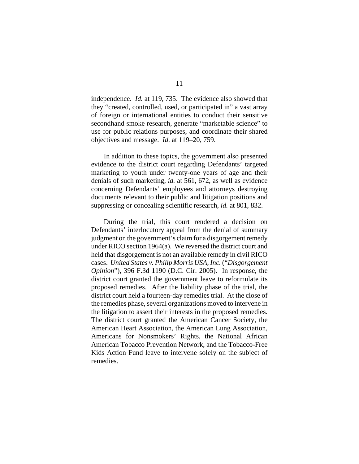independence. *Id.* at 119, 735. The evidence also showed that they "created, controlled, used, or participated in" a vast array of foreign or international entities to conduct their sensitive secondhand smoke research, generate "marketable science" to use for public relations purposes, and coordinate their shared objectives and message. *Id.* at 119–20, 759.

In addition to these topics, the government also presented evidence to the district court regarding Defendants' targeted marketing to youth under twenty-one years of age and their denials of such marketing, *id.* at 561, 672, as well as evidence concerning Defendants' employees and attorneys destroying documents relevant to their public and litigation positions and suppressing or concealing scientific research, *id.* at 801, 832.

During the trial, this court rendered a decision on Defendants' interlocutory appeal from the denial of summary judgment on the government's claim for a disgorgement remedy under RICO section 1964(a). We reversed the district court and held that disgorgement is not an available remedy in civil RICO cases. *United States v. Philip Morris USA, Inc.* ("*Disgorgement Opinion*"), 396 F.3d 1190 (D.C. Cir. 2005). In response, the district court granted the government leave to reformulate its proposed remedies. After the liability phase of the trial, the district court held a fourteen-day remedies trial. At the close of the remedies phase, several organizations moved to intervene in the litigation to assert their interests in the proposed remedies. The district court granted the American Cancer Society, the American Heart Association, the American Lung Association, Americans for Nonsmokers' Rights, the National African American Tobacco Prevention Network, and the Tobacco-Free Kids Action Fund leave to intervene solely on the subject of remedies.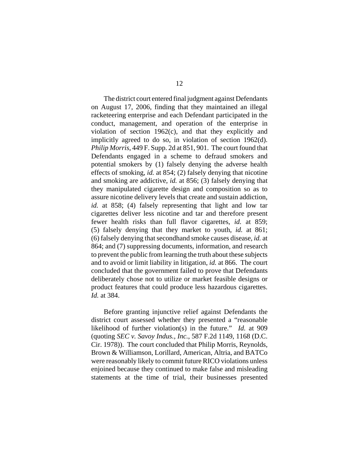The district court entered final judgment against Defendants on August 17, 2006, finding that they maintained an illegal racketeering enterprise and each Defendant participated in the conduct, management, and operation of the enterprise in violation of section 1962(c), and that they explicitly and implicitly agreed to do so, in violation of section 1962(d). *Philip Morris*, 449 F. Supp. 2d at 851, 901. The court found that Defendants engaged in a scheme to defraud smokers and potential smokers by (1) falsely denying the adverse health effects of smoking, *id.* at 854; (2) falsely denying that nicotine and smoking are addictive, *id.* at 856; (3) falsely denying that they manipulated cigarette design and composition so as to assure nicotine delivery levels that create and sustain addiction, *id.* at 858; (4) falsely representing that light and low tar cigarettes deliver less nicotine and tar and therefore present fewer health risks than full flavor cigarettes, *id.* at 859; (5) falsely denying that they market to youth, *id.* at 861; (6) falsely denying that secondhand smoke causes disease, *id.* at 864; and (7) suppressing documents, information, and research to prevent the public from learning the truth about these subjects and to avoid or limit liability in litigation, *id.* at 866. The court concluded that the government failed to prove that Defendants deliberately chose not to utilize or market feasible designs or product features that could produce less hazardous cigarettes. *Id.* at 384.

Before granting injunctive relief against Defendants the district court assessed whether they presented a "reasonable likelihood of further violation(s) in the future." *Id.* at 909 (quoting *SEC v. Savoy Indus., Inc.*, 587 F.2d 1149, 1168 (D.C. Cir. 1978)). The court concluded that Philip Morris, Reynolds, Brown & Williamson, Lorillard, American, Altria, and BATCo were reasonably likely to commit future RICO violations unless enjoined because they continued to make false and misleading statements at the time of trial, their businesses presented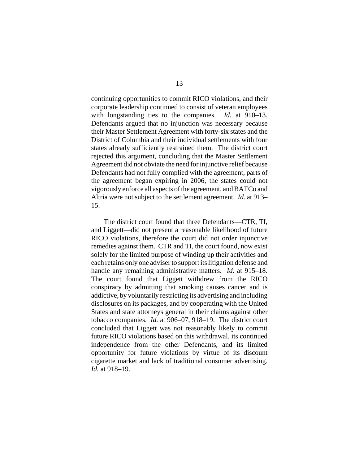continuing opportunities to commit RICO violations, and their corporate leadership continued to consist of veteran employees with longstanding ties to the companies. *Id.* at 910–13. Defendants argued that no injunction was necessary because their Master Settlement Agreement with forty-six states and the District of Columbia and their individual settlements with four states already sufficiently restrained them. The district court rejected this argument, concluding that the Master Settlement Agreement did not obviate the need for injunctive relief because Defendants had not fully complied with the agreement, parts of the agreement began expiring in 2006, the states could not vigorously enforce all aspects of the agreement, and BATCo and Altria were not subject to the settlement agreement. *Id.* at 913– 15.

The district court found that three Defendants—CTR, TI, and Liggett—did not present a reasonable likelihood of future RICO violations, therefore the court did not order injunctive remedies against them. CTR and TI, the court found, now exist solely for the limited purpose of winding up their activities and each retains only one adviser to support its litigation defense and handle any remaining administrative matters. *Id.* at 915–18. The court found that Liggett withdrew from the RICO conspiracy by admitting that smoking causes cancer and is addictive, by voluntarily restricting its advertising and including disclosures on its packages, and by cooperating with the United States and state attorneys general in their claims against other tobacco companies. *Id.* at 906–07, 918–19. The district court concluded that Liggett was not reasonably likely to commit future RICO violations based on this withdrawal, its continued independence from the other Defendants, and its limited opportunity for future violations by virtue of its discount cigarette market and lack of traditional consumer advertising. *Id.* at 918–19.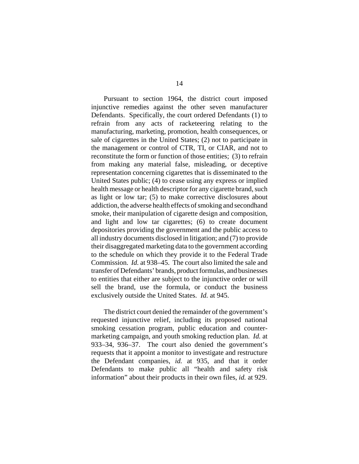Pursuant to section 1964, the district court imposed injunctive remedies against the other seven manufacturer Defendants. Specifically, the court ordered Defendants (1) to refrain from any acts of racketeering relating to the manufacturing, marketing, promotion, health consequences, or sale of cigarettes in the United States; (2) not to participate in the management or control of CTR, TI, or CIAR, and not to reconstitute the form or function of those entities; (3) to refrain from making any material false, misleading, or deceptive representation concerning cigarettes that is disseminated to the United States public; (4) to cease using any express or implied health message or health descriptor for any cigarette brand, such as light or low tar; (5) to make corrective disclosures about addiction, the adverse health effects of smoking and secondhand smoke, their manipulation of cigarette design and composition, and light and low tar cigarettes; (6) to create document depositories providing the government and the public access to all industry documents disclosed in litigation; and (7) to provide their disaggregated marketing data to the government according to the schedule on which they provide it to the Federal Trade Commission. *Id.* at 938–45. The court also limited the sale and transfer of Defendants' brands, product formulas, and businesses to entities that either are subject to the injunctive order or will sell the brand, use the formula, or conduct the business exclusively outside the United States. *Id.* at 945.

The district court denied the remainder of the government's requested injunctive relief, including its proposed national smoking cessation program, public education and countermarketing campaign, and youth smoking reduction plan. *Id.* at 933–34, 936–37. The court also denied the government's requests that it appoint a monitor to investigate and restructure the Defendant companies, *id.* at 935, and that it order Defendants to make public all "health and safety risk information" about their products in their own files, *id.* at 929.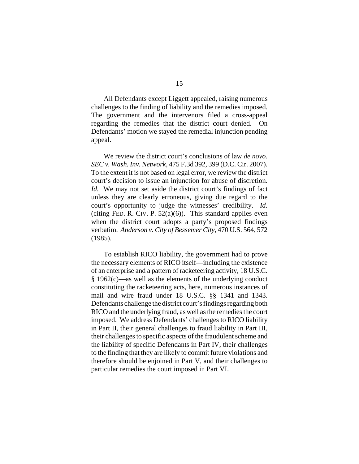All Defendants except Liggett appealed, raising numerous challenges to the finding of liability and the remedies imposed. The government and the intervenors filed a cross-appeal regarding the remedies that the district court denied. On Defendants' motion we stayed the remedial injunction pending appeal.

We review the district court's conclusions of law *de novo*. *SEC v. Wash. Inv. Network*, 475 F.3d 392, 399 (D.C. Cir. 2007). To the extent it is not based on legal error, we review the district court's decision to issue an injunction for abuse of discretion. *Id.* We may not set aside the district court's findings of fact unless they are clearly erroneous, giving due regard to the court's opportunity to judge the witnesses' credibility. *Id.* (citing FED. R. CIV. P.  $52(a)(6)$ ). This standard applies even when the district court adopts a party's proposed findings verbatim. *Anderson v. City of Bessemer City*, 470 U.S. 564, 572 (1985).

To establish RICO liability, the government had to prove the necessary elements of RICO itself—including the existence of an enterprise and a pattern of racketeering activity, 18 U.S.C. § 1962(c)—as well as the elements of the underlying conduct constituting the racketeering acts, here, numerous instances of mail and wire fraud under 18 U.S.C. §§ 1341 and 1343. Defendants challenge the district court's findings regarding both RICO and the underlying fraud, as well as the remedies the court imposed. We address Defendants' challenges to RICO liability in Part II, their general challenges to fraud liability in Part III, their challenges to specific aspects of the fraudulent scheme and the liability of specific Defendants in Part IV, their challenges to the finding that they are likely to commit future violations and therefore should be enjoined in Part V, and their challenges to particular remedies the court imposed in Part VI.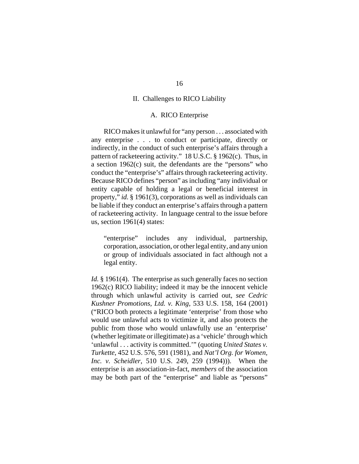#### II. Challenges to RICO Liability

### A. RICO Enterprise

RICO makes it unlawful for "any person . . . associated with any enterprise . . . to conduct or participate, directly or indirectly, in the conduct of such enterprise's affairs through a pattern of racketeering activity." 18 U.S.C. § 1962(c). Thus, in a section 1962(c) suit, the defendants are the "persons" who conduct the "enterprise's" affairs through racketeering activity. Because RICO defines "person" as including "any individual or entity capable of holding a legal or beneficial interest in property," *id.* § 1961(3), corporations as well as individuals can be liable if they conduct an enterprise's affairs through a pattern of racketeering activity. In language central to the issue before us, section 1961(4) states:

"enterprise" includes any individual, partnership, corporation, association, or other legal entity, and any union or group of individuals associated in fact although not a legal entity.

*Id.* § 1961(4). The enterprise as such generally faces no section 1962(c) RICO liability; indeed it may be the innocent vehicle through which unlawful activity is carried out, *see Cedric Kushner Promotions, Ltd. v. King*, 533 U.S. 158, 164 (2001) ("RICO both protects a legitimate 'enterprise' from those who would use unlawful acts to victimize it, and also protects the public from those who would unlawfully use an 'enterprise' (whether legitimate or illegitimate) as a 'vehicle' through which 'unlawful . . . activity is committed.'" (quoting *United States v. Turkette*, 452 U.S. 576, 591 (1981), and *Nat'l Org. for Women, Inc. v. Scheidler*, 510 U.S. 249, 259 (1994))). When the enterprise is an association-in-fact, *members* of the association may be both part of the "enterprise" and liable as "persons"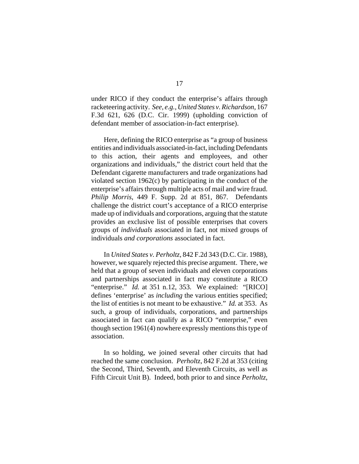under RICO if they conduct the enterprise's affairs through racketeering activity. *See, e.g.*, *United States v. Richardson*, 167 F.3d 621, 626 (D.C. Cir. 1999) (upholding conviction of defendant member of association-in-fact enterprise).

Here, defining the RICO enterprise as "a group of business entities and individuals associated-in-fact, including Defendants to this action, their agents and employees, and other organizations and individuals," the district court held that the Defendant cigarette manufacturers and trade organizations had violated section 1962(c) by participating in the conduct of the enterprise's affairs through multiple acts of mail and wire fraud. *Philip Morris*, 449 F. Supp. 2d at 851, 867. Defendants challenge the district court's acceptance of a RICO enterprise made up of individuals and corporations, arguing that the statute provides an exclusive list of possible enterprises that covers groups of *individuals* associated in fact, not mixed groups of individuals *and corporations* associated in fact.

In *United States v. Perholtz*, 842 F.2d 343 (D.C. Cir. 1988), however, we squarely rejected this precise argument. There, we held that a group of seven individuals and eleven corporations and partnerships associated in fact may constitute a RICO "enterprise." *Id.* at 351 n.12, 353. We explained: "[RICO] defines 'enterprise' as *including* the various entities specified; the list of entities is not meant to be exhaustive." *Id.* at 353. As such, a group of individuals, corporations, and partnerships associated in fact can qualify as a RICO "enterprise," even though section 1961(4) nowhere expressly mentions this type of association.

In so holding, we joined several other circuits that had reached the same conclusion. *Perholtz*, 842 F.2d at 353 (citing the Second, Third, Seventh, and Eleventh Circuits, as well as Fifth Circuit Unit B). Indeed, both prior to and since *Perholtz*,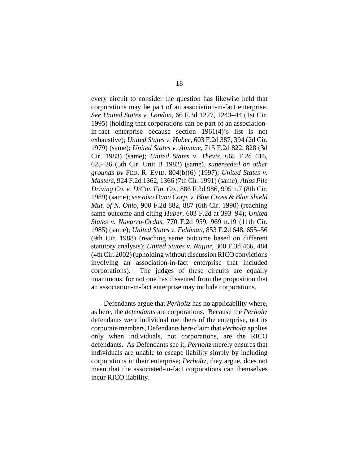every circuit to consider the question has likewise held that corporations may be part of an association-in-fact enterprise. *See United States v. London*, 66 F.3d 1227, 1243–44 (1st Cir. 1995) (holding that corporations can be part of an associationin-fact enterprise because section 1961(4)'s list is not exhaustive); *United States v. Huber*, 603 F.2d 387, 394 (2d Cir. 1979) (same); *United States v. Aimone*, 715 F.2d 822, 828 (3d Cir. 1983) (same); *United States v. Thevis*, 665 F.2d 616, 625–26 (5th Cir. Unit B 1982) (same), *superseded on other grounds by* FED. R. EVID. 804(b)(6) (1997); *United States v. Masters*, 924 F.2d 1362, 1366 (7th Cir. 1991) (same); *Atlas Pile Driving Co. v. DiCon Fin. Co.*, 886 F.2d 986, 995 n.7 (8th Cir. 1989) (same); *see also Dana Corp. v. Blue Cross & Blue Shield Mut. of N. Ohio*, 900 F.2d 882, 887 (6th Cir. 1990) (reaching same outcome and citing *Huber*, 603 F.2d at 393–94); *United States v. Navarro-Ordas*, 770 F.2d 959, 969 n.19 (11th Cir. 1985) (same); *United States v. Feldman*, 853 F.2d 648, 655–56 (9th Cir. 1988) (reaching same outcome based on different statutory analysis); *United States v. Najjar*, 300 F.3d 466, 484 (4th Cir. 2002) (upholding without discussion RICO convictions involving an association-in-fact enterprise that included corporations). The judges of these circuits are equally unanimous, for not one has dissented from the proposition that an association-in-fact enterprise may include corporations.

Defendants argue that *Perholtz* has no applicability where, as here, the *defendants* are corporations. Because the *Perholtz* defendants were individual members of the enterprise, not its corporate members, Defendants here claim that *Perholtz* applies only when individuals, not corporations, are the RICO defendants. As Defendants see it, *Perholtz* merely ensures that individuals are unable to escape liability simply by including corporations in their enterprise; *Perholtz*, they argue, does not mean that the associated-in-fact corporations can themselves incur RICO liability.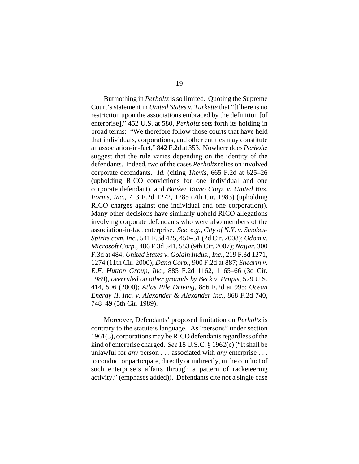But nothing in *Perholtz* is so limited. Quoting the Supreme Court's statement in *United States v. Turkette* that "[t]here is no restriction upon the associations embraced by the definition [of enterprise]," 452 U.S. at 580, *Perholtz* sets forth its holding in broad terms: "We therefore follow those courts that have held that individuals, corporations, and other entities may constitute an association-in-fact," 842 F.2d at 353. Nowhere does *Perholtz* suggest that the rule varies depending on the identity of the defendants. Indeed, two of the cases *Perholtz* relies on involved corporate defendants. *Id.* (citing *Thevis*, 665 F.2d at 625–26 (upholding RICO convictions for one individual and one corporate defendant), and *Bunker Ramo Corp. v. United Bus. Forms, Inc.*, 713 F.2d 1272, 1285 (7th Cir. 1983) (upholding RICO charges against one individual and one corporation)). Many other decisions have similarly upheld RICO allegations involving corporate defendants who were also members of the association-in-fact enterprise. *See, e.g.*, *City of N.Y. v. Smokes-Spirits.com, Inc.*, 541 F.3d 425, 450–51 (2d Cir. 2008); *Odom v. Microsoft Corp.*, 486 F.3d 541, 553 (9th Cir. 2007); *Najjar*, 300 F.3d at 484; *United States v. Goldin Indus., Inc.*, 219 F.3d 1271, 1274 (11th Cir. 2000); *Dana Corp.*, 900 F.2d at 887; *Shearin v. E.F. Hutton Group, Inc.*, 885 F.2d 1162, 1165–66 (3d Cir. 1989), *overruled on other grounds by Beck v. Prupis*, 529 U.S. 414, 506 (2000); *Atlas Pile Driving*, 886 F.2d at 995; *Ocean Energy II, Inc. v. Alexander & Alexander Inc.*, 868 F.2d 740, 748–49 (5th Cir. 1989).

Moreover, Defendants' proposed limitation on *Perholtz* is contrary to the statute's language. As "persons" under section 1961(3), corporations may be RICO defendants regardless of the kind of enterprise charged. *See* 18 U.S.C. § 1962(c) ("It shall be unlawful for *any* person . . . associated with *any* enterprise . . . to conduct or participate, directly or indirectly, in the conduct of such enterprise's affairs through a pattern of racketeering activity." (emphases added)). Defendants cite not a single case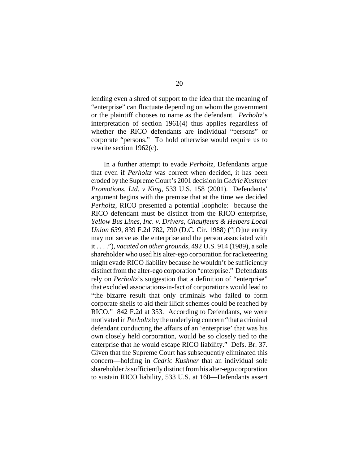lending even a shred of support to the idea that the meaning of "enterprise" can fluctuate depending on whom the government or the plaintiff chooses to name as the defendant. *Perholtz*'s interpretation of section 1961(4) thus applies regardless of whether the RICO defendants are individual "persons" or corporate "persons." To hold otherwise would require us to rewrite section 1962(c).

In a further attempt to evade *Perholtz*, Defendants argue that even if *Perholtz* was correct when decided, it has been eroded by the Supreme Court's 2001 decision in *Cedric Kushner Promotions, Ltd. v King*, 533 U.S. 158 (2001). Defendants' argument begins with the premise that at the time we decided *Perholtz*, RICO presented a potential loophole: because the RICO defendant must be distinct from the RICO enterprise, *Yellow Bus Lines, Inc. v. Drivers, Chauffeurs & Helpers Local Union 639*, 839 F.2d 782, 790 (D.C. Cir. 1988) ("[O]ne entity may not serve as the enterprise and the person associated with it . . . ."), *vacated on other grounds*, 492 U.S. 914 (1989), a sole shareholder who used his alter-ego corporation for racketeering might evade RICO liability because he wouldn't be sufficiently distinct from the alter-ego corporation "enterprise." Defendants rely on *Perholtz*'s suggestion that a definition of "enterprise" that excluded associations-in-fact of corporations would lead to "the bizarre result that only criminals who failed to form corporate shells to aid their illicit schemes could be reached by RICO." 842 F.2d at 353. According to Defendants, we were motivated in *Perholtz* by the underlying concern "that a criminal defendant conducting the affairs of an 'enterprise' that was his own closely held corporation, would be so closely tied to the enterprise that he would escape RICO liability." Defs. Br. 37. Given that the Supreme Court has subsequently eliminated this concern—holding in *Cedric Kushner* that an individual sole shareholder *is* sufficiently distinct from his alter-ego corporation to sustain RICO liability, 533 U.S. at 160—Defendants assert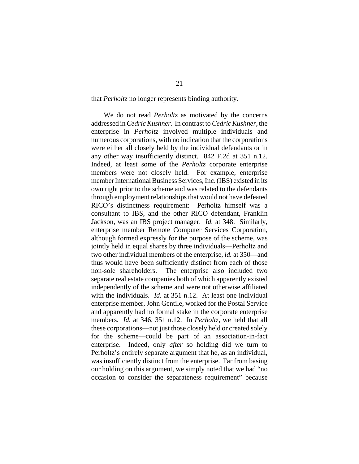that *Perholtz* no longer represents binding authority.

We do not read *Perholtz* as motivated by the concerns addressed in *Cedric Kushner*. In contrast to *Cedric Kushner*, the enterprise in *Perholtz* involved multiple individuals and numerous corporations, with no indication that the corporations were either all closely held by the individual defendants or in any other way insufficiently distinct. 842 F.2d at 351 n.12. Indeed, at least some of the *Perholtz* corporate enterprise members were not closely held. For example, enterprise member International Business Services, Inc. (IBS) existed in its own right prior to the scheme and was related to the defendants through employment relationships that would not have defeated RICO's distinctness requirement: Perholtz himself was a consultant to IBS, and the other RICO defendant, Franklin Jackson, was an IBS project manager. *Id.* at 348. Similarly, enterprise member Remote Computer Services Corporation, although formed expressly for the purpose of the scheme, was jointly held in equal shares by three individuals—Perholtz and two other individual members of the enterprise, *id.* at 350—and thus would have been sufficiently distinct from each of those non-sole shareholders. The enterprise also included two separate real estate companies both of which apparently existed independently of the scheme and were not otherwise affiliated with the individuals. *Id.* at 351 n.12. At least one individual enterprise member, John Gentile, worked for the Postal Service and apparently had no formal stake in the corporate enterprise members. *Id.* at 346, 351 n.12. In *Perholtz*, we held that all these corporations—not just those closely held or created solely for the scheme—could be part of an association-in-fact enterprise. Indeed, only *after* so holding did we turn to Perholtz's entirely separate argument that he, as an individual, was insufficiently distinct from the enterprise. Far from basing our holding on this argument, we simply noted that we had "no occasion to consider the separateness requirement" because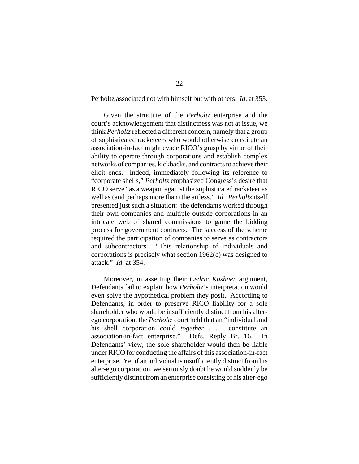Perholtz associated not with himself but with others. *Id.* at 353.

Given the structure of the *Perholtz* enterprise and the court's acknowledgement that distinctness was not at issue, we think *Perholtz* reflected a different concern, namely that a group of sophisticated racketeers who would otherwise constitute an association-in-fact might evade RICO's grasp by virtue of their ability to operate through corporations and establish complex networks of companies, kickbacks, and contracts to achieve their elicit ends. Indeed, immediately following its reference to "corporate shells," *Perholtz* emphasized Congress's desire that RICO serve "as a weapon against the sophisticated racketeer as well as (and perhaps more than) the artless." *Id. Perholtz* itself presented just such a situation: the defendants worked through their own companies and multiple outside corporations in an intricate web of shared commissions to game the bidding process for government contracts. The success of the scheme required the participation of companies to serve as contractors and subcontractors. "This relationship of individuals and corporations is precisely what section 1962(c) was designed to attack." *Id.* at 354.

Moreover, in asserting their *Cedric Kushner* argument, Defendants fail to explain how *Perholtz*'s interpretation would even solve the hypothetical problem they posit. According to Defendants, in order to preserve RICO liability for a sole shareholder who would be insufficiently distinct from his alterego corporation, the *Perholtz* court held that an "individual and his shell corporation could *together* . . . constitute an association-in-fact enterprise." Defs. Reply Br. 16. In Defendants' view, the sole shareholder would then be liable under RICO for conducting the affairs of this association-in-fact enterprise. Yet if an individual is insufficiently distinct from his alter-ego corporation, we seriously doubt he would suddenly be sufficiently distinct from an enterprise consisting of his alter-ego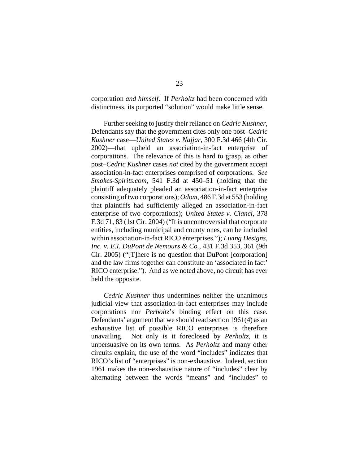corporation *and himself*. If *Perholtz* had been concerned with distinctness, its purported "solution" would make little sense.

Further seeking to justify their reliance on *Cedric Kushner*, Defendants say that the government cites only one post–*Cedric Kushner* case—*United States v. Najjar*, 300 F.3d 466 (4th Cir. 2002)—that upheld an association-in-fact enterprise of corporations. The relevance of this is hard to grasp, as other post–*Cedric Kushner* cases *not* cited by the government accept association-in-fact enterprises comprised of corporations. *See Smokes-Spirits.com*, 541 F.3d at 450–51 (holding that the plaintiff adequately pleaded an association-in-fact enterprise consisting of two corporations); *Odom*, 486 F.3d at 553 (holding that plaintiffs had sufficiently alleged an association-in-fact enterprise of two corporations); *United States v. Cianci*, 378 F.3d 71, 83 (1st Cir. 2004) ("It is uncontroversial that corporate entities, including municipal and county ones, can be included within association-in-fact RICO enterprises."); *Living Designs, Inc. v. E.I. DuPont de Nemours & Co.*, 431 F.3d 353, 361 (9th Cir. 2005) ("[T]here is no question that DuPont [corporation] and the law firms together can constitute an 'associated in fact' RICO enterprise."). And as we noted above, no circuit has ever held the opposite.

*Cedric Kushner* thus undermines neither the unanimous judicial view that association-in-fact enterprises may include corporations nor *Perholtz*'s binding effect on this case. Defendants' argument that we should read section 1961(4) as an exhaustive list of possible RICO enterprises is therefore unavailing. Not only is it foreclosed by *Perholtz*, it is unpersuasive on its own terms. As *Perholtz* and many other circuits explain, the use of the word "includes" indicates that RICO's list of "enterprises" is non-exhaustive. Indeed, section 1961 makes the non-exhaustive nature of "includes" clear by alternating between the words "means" and "includes" to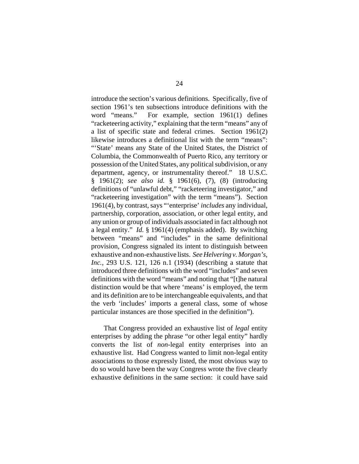introduce the section's various definitions. Specifically, five of section 1961's ten subsections introduce definitions with the word "means." For example, section 1961(1) defines "racketeering activity," explaining that the term "means" any of a list of specific state and federal crimes. Section 1961(2) likewise introduces a definitional list with the term "means": "'State' means any State of the United States, the District of Columbia, the Commonwealth of Puerto Rico, any territory or possession of the United States, any political subdivision, or any department, agency, or instrumentality thereof." 18 U.S.C. § 1961(2); *see also id.* § 1961(6), (7), (8) (introducing definitions of "unlawful debt," "racketeering investigator," and "racketeering investigation" with the term "means"). Section 1961(4), by contrast, says "'enterprise' *includes* any individual, partnership, corporation, association, or other legal entity, and any union or group of individuals associated in fact although not a legal entity." *Id.* § 1961(4) (emphasis added). By switching between "means" and "includes" in the same definitional provision, Congress signaled its intent to distinguish between exhaustive and non-exhaustive lists. *See Helvering v. Morgan's, Inc.*, 293 U.S. 121, 126 n.1 (1934) (describing a statute that introduced three definitions with the word "includes" and seven definitions with the word "means" and noting that "[t]he natural distinction would be that where 'means' is employed, the term and its definition are to be interchangeable equivalents, and that the verb 'includes' imports a general class, some of whose particular instances are those specified in the definition").

That Congress provided an exhaustive list of *legal* entity enterprises by adding the phrase "or other legal entity" hardly converts the list of *non*-legal entity enterprises into an exhaustive list. Had Congress wanted to limit non-legal entity associations to those expressly listed, the most obvious way to do so would have been the way Congress wrote the five clearly exhaustive definitions in the same section: it could have said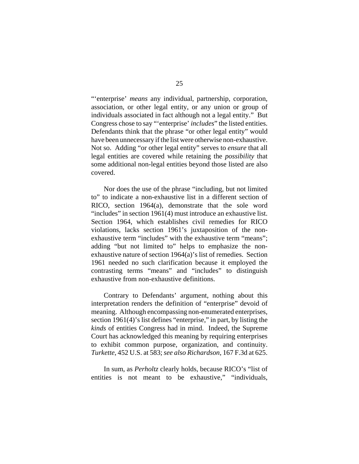"'enterprise' *means* any individual, partnership, corporation, association, or other legal entity, or any union or group of individuals associated in fact although not a legal entity." But Congress chose to say "'enterprise' *includes*" the listed entities. Defendants think that the phrase "or other legal entity" would have been unnecessary if the list were otherwise non-exhaustive. Not so. Adding "or other legal entity" serves to *ensure* that all legal entities are covered while retaining the *possibility* that some additional non-legal entities beyond those listed are also covered.

Nor does the use of the phrase "including, but not limited to" to indicate a non-exhaustive list in a different section of RICO, section 1964(a), demonstrate that the sole word "includes" in section 1961(4) must introduce an exhaustive list. Section 1964, which establishes civil remedies for RICO violations, lacks section 1961's juxtaposition of the nonexhaustive term "includes" with the exhaustive term "means"; adding "but not limited to" helps to emphasize the nonexhaustive nature of section 1964(a)'s list of remedies. Section 1961 needed no such clarification because it employed the contrasting terms "means" and "includes" to distinguish exhaustive from non-exhaustive definitions.

Contrary to Defendants' argument, nothing about this interpretation renders the definition of "enterprise" devoid of meaning. Although encompassing non-enumerated enterprises, section 1961(4)'s list defines "enterprise," in part, by listing the *kinds* of entities Congress had in mind. Indeed, the Supreme Court has acknowledged this meaning by requiring enterprises to exhibit common purpose, organization, and continuity. *Turkette*, 452 U.S. at 583; *see also Richardson*, 167 F.3d at 625.

In sum, as *Perholtz* clearly holds, because RICO's "list of entities is not meant to be exhaustive," "individuals,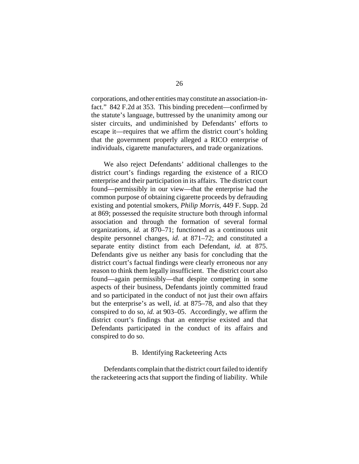corporations, and other entities may constitute an association-infact." 842 F.2d at 353. This binding precedent—confirmed by the statute's language, buttressed by the unanimity among our sister circuits, and undiminished by Defendants' efforts to escape it—requires that we affirm the district court's holding that the government properly alleged a RICO enterprise of individuals, cigarette manufacturers, and trade organizations.

We also reject Defendants' additional challenges to the district court's findings regarding the existence of a RICO enterprise and their participation in its affairs. The district court found—permissibly in our view—that the enterprise had the common purpose of obtaining cigarette proceeds by defrauding existing and potential smokers, *Philip Morris*, 449 F. Supp. 2d at 869; possessed the requisite structure both through informal association and through the formation of several formal organizations, *id.* at 870–71; functioned as a continuous unit despite personnel changes, *id.* at 871–72; and constituted a separate entity distinct from each Defendant, *id.* at 875. Defendants give us neither any basis for concluding that the district court's factual findings were clearly erroneous nor any reason to think them legally insufficient. The district court also found—again permissibly—that despite competing in some aspects of their business, Defendants jointly committed fraud and so participated in the conduct of not just their own affairs but the enterprise's as well, *id.* at 875–78, and also that they conspired to do so, *id.* at 903–05. Accordingly, we affirm the district court's findings that an enterprise existed and that Defendants participated in the conduct of its affairs and conspired to do so.

## B. Identifying Racketeering Acts

Defendants complain that the district court failed to identify the racketeering acts that support the finding of liability. While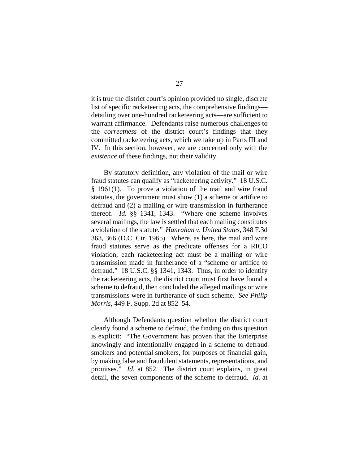it is true the district court's opinion provided no single, discrete list of specific racketeering acts, the comprehensive findings detailing over one-hundred racketeering acts—are sufficient to warrant affirmance. Defendants raise numerous challenges to the *correctness* of the district court's findings that they committed racketeering acts, which we take up in Parts III and IV. In this section, however, we are concerned only with the *existence* of these findings, not their validity.

By statutory definition, any violation of the mail or wire fraud statutes can qualify as "racketeering activity." 18 U.S.C. § 1961(1). To prove a violation of the mail and wire fraud statutes, the government must show (1) a scheme or artifice to defraud and (2) a mailing or wire transmission in furtherance thereof. *Id.* §§ 1341, 1343. "Where one scheme involves several mailings, the law is settled that each mailing constitutes a violation of the statute." *Hanrahan v. United States*, 348 F.3d 363, 366 (D.C. Cir. 1965). Where, as here, the mail and wire fraud statutes serve as the predicate offenses for a RICO violation, each racketeering act must be a mailing or wire transmission made in furtherance of a "scheme or artifice to defraud." 18 U.S.C. §§ 1341, 1343. Thus, in order to identify the racketeering acts, the district court must first have found a scheme to defraud, then concluded the alleged mailings or wire transmissions were in furtherance of such scheme. *See Philip Morris*, 449 F. Supp. 2d at 852–54.

Although Defendants question whether the district court clearly found a scheme to defraud, the finding on this question is explicit: "The Government has proven that the Enterprise knowingly and intentionally engaged in a scheme to defraud smokers and potential smokers, for purposes of financial gain, by making false and fraudulent statements, representations, and promises." *Id.* at 852. The district court explains, in great detail, the seven components of the scheme to defraud. *Id.* at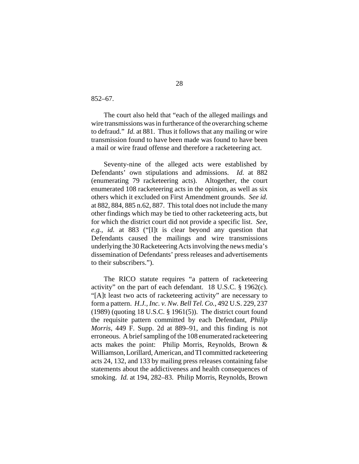852–67.

The court also held that "each of the alleged mailings and wire transmissions was in furtherance of the overarching scheme to defraud." *Id.* at 881. Thus it follows that any mailing or wire transmission found to have been made was found to have been a mail or wire fraud offense and therefore a racketeering act.

Seventy-nine of the alleged acts were established by Defendants' own stipulations and admissions. *Id.* at 882 (enumerating 79 racketeering acts). Altogether, the court enumerated 108 racketeering acts in the opinion, as well as six others which it excluded on First Amendment grounds. *See id.* at 882, 884, 885 n.62, 887. This total does not include the many other findings which may be tied to other racketeering acts, but for which the district court did not provide a specific list. *See, e.g.*, *id.* at 883 ("[I]t is clear beyond any question that Defendants caused the mailings and wire transmissions underlying the 30 Racketeering Acts involving the news media's dissemination of Defendants' press releases and advertisements to their subscribers.").

The RICO statute requires "a pattern of racketeering activity" on the part of each defendant. 18 U.S.C. § 1962(c). "[A]t least two acts of racketeering activity" are necessary to form a pattern. *H.J., Inc. v. Nw. Bell Tel. Co.*, 492 U.S. 229, 237 (1989) (quoting 18 U.S.C. § 1961(5)). The district court found the requisite pattern committed by each Defendant, *Philip Morris*, 449 F. Supp. 2d at 889–91, and this finding is not erroneous. A brief sampling of the 108 enumerated racketeering acts makes the point: Philip Morris, Reynolds, Brown & Williamson, Lorillard, American, and TI committed racketeering acts 24, 132, and 133 by mailing press releases containing false statements about the addictiveness and health consequences of smoking. *Id.* at 194, 282–83. Philip Morris, Reynolds, Brown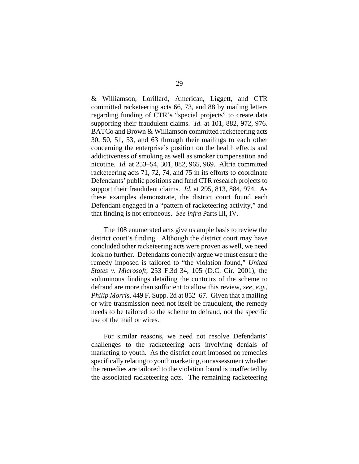& Williamson, Lorillard, American, Liggett, and CTR committed racketeering acts 66, 73, and 88 by mailing letters regarding funding of CTR's "special projects" to create data supporting their fraudulent claims. *Id.* at 101, 882, 972, 976. BATCo and Brown & Williamson committed racketeering acts 30, 50, 51, 53, and 63 through their mailings to each other concerning the enterprise's position on the health effects and addictiveness of smoking as well as smoker compensation and nicotine. *Id.* at 253–54, 301, 882, 965, 969. Altria committed racketeering acts 71, 72, 74, and 75 in its efforts to coordinate Defendants' public positions and fund CTR research projects to support their fraudulent claims. *Id.* at 295, 813, 884, 974. As these examples demonstrate, the district court found each Defendant engaged in a "pattern of racketeering activity," and that finding is not erroneous. *See infra* Parts III, IV.

The 108 enumerated acts give us ample basis to review the district court's finding. Although the district court may have concluded other racketeering acts were proven as well, we need look no further. Defendants correctly argue we must ensure the remedy imposed is tailored to "the violation found," *United States v. Microsoft*, 253 F.3d 34, 105 (D.C. Cir. 2001); the voluminous findings detailing the contours of the scheme to defraud are more than sufficient to allow this review, *see, e.g.*, *Philip Morris*, 449 F. Supp. 2d at 852–67. Given that a mailing or wire transmission need not itself be fraudulent, the remedy needs to be tailored to the scheme to defraud, not the specific use of the mail or wires.

For similar reasons, we need not resolve Defendants' challenges to the racketeering acts involving denials of marketing to youth. As the district court imposed no remedies specifically relating to youth marketing, our assessment whether the remedies are tailored to the violation found is unaffected by the associated racketeering acts. The remaining racketeering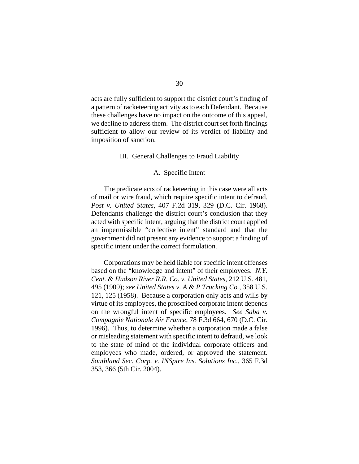acts are fully sufficient to support the district court's finding of a pattern of racketeering activity as to each Defendant. Because these challenges have no impact on the outcome of this appeal, we decline to address them. The district court set forth findings sufficient to allow our review of its verdict of liability and imposition of sanction.

## III. General Challenges to Fraud Liability

## A. Specific Intent

The predicate acts of racketeering in this case were all acts of mail or wire fraud, which require specific intent to defraud. *Post v. United States*, 407 F.2d 319, 329 (D.C. Cir. 1968). Defendants challenge the district court's conclusion that they acted with specific intent, arguing that the district court applied an impermissible "collective intent" standard and that the government did not present any evidence to support a finding of specific intent under the correct formulation.

Corporations may be held liable for specific intent offenses based on the "knowledge and intent" of their employees. *N.Y. Cent. & Hudson River R.R. Co. v. United States*, 212 U.S. 481, 495 (1909); *see United States v. A & P Trucking Co.*, 358 U.S. 121, 125 (1958). Because a corporation only acts and wills by virtue of its employees, the proscribed corporate intent depends on the wrongful intent of specific employees. *See Saba v. Compagnie Nationale Air France*, 78 F.3d 664, 670 (D.C. Cir. 1996). Thus, to determine whether a corporation made a false or misleading statement with specific intent to defraud, we look to the state of mind of the individual corporate officers and employees who made, ordered, or approved the statement. *Southland Sec. Corp. v. INSpire Ins. Solutions Inc.*, 365 F.3d 353, 366 (5th Cir. 2004).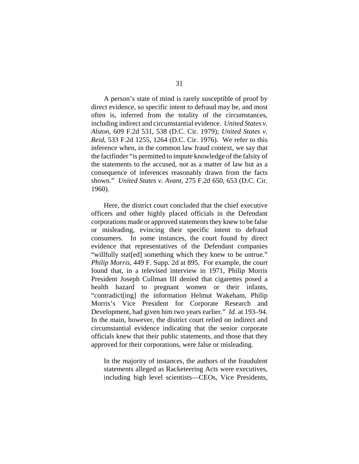A person's state of mind is rarely susceptible of proof by direct evidence, so specific intent to defraud may be, and most often is, inferred from the totality of the circumstances, including indirect and circumstantial evidence. *United States v. Alston*, 609 F.2d 531, 538 (D.C. Cir. 1979); *United States v. Reid*, 533 F.2d 1255, 1264 (D.C. Cir. 1976). We refer to this inference when, in the common law fraud context, we say that the factfinder "is permitted to impute knowledge of the falsity of the statements to the accused, not as a matter of law but as a consequence of inferences reasonably drawn from the facts shown." *United States v. Avant*, 275 F.2d 650, 653 (D.C. Cir. 1960).

Here, the district court concluded that the chief executive officers and other highly placed officials in the Defendant corporations made or approved statements they knew to be false or misleading, evincing their specific intent to defraud consumers. In some instances, the court found by direct evidence that representatives of the Defendant companies "willfully stat[ed] something which they knew to be untrue." *Philip Morris*, 449 F. Supp. 2d at 895. For example, the court found that, in a televised interview in 1971, Philip Morris President Joseph Cullman III denied that cigarettes posed a health hazard to pregnant women or their infants, "contradict[ing] the information Helmut Wakeham, Philip Morris's Vice President for Corporate Research and Development, had given him two years earlier." *Id.* at 193–94. In the main, however, the district court relied on indirect and circumstantial evidence indicating that the senior corporate officials knew that their public statements, and those that they approved for their corporations, were false or misleading.

In the majority of instances, the authors of the fraudulent statements alleged as Racketeering Acts were executives, including high level scientists—CEOs, Vice Presidents,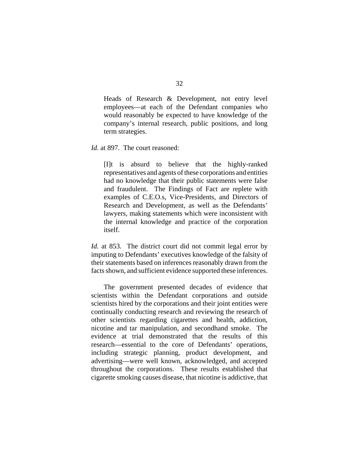Heads of Research & Development, not entry level employees—at each of the Defendant companies who would reasonably be expected to have knowledge of the company's internal research, public positions, and long term strategies.

*Id.* at 897. The court reasoned:

[I]t is absurd to believe that the highly-ranked representatives and agents of these corporations and entities had no knowledge that their public statements were false and fraudulent. The Findings of Fact are replete with examples of C.E.O.s, Vice-Presidents, and Directors of Research and Development, as well as the Defendants' lawyers, making statements which were inconsistent with the internal knowledge and practice of the corporation itself.

*Id.* at 853. The district court did not commit legal error by imputing to Defendants' executives knowledge of the falsity of their statements based on inferences reasonably drawn from the facts shown, and sufficient evidence supported these inferences.

The government presented decades of evidence that scientists within the Defendant corporations and outside scientists hired by the corporations and their joint entities were continually conducting research and reviewing the research of other scientists regarding cigarettes and health, addiction, nicotine and tar manipulation, and secondhand smoke. The evidence at trial demonstrated that the results of this research—essential to the core of Defendants' operations, including strategic planning, product development, and advertising—were well known, acknowledged, and accepted throughout the corporations. These results established that cigarette smoking causes disease, that nicotine is addictive, that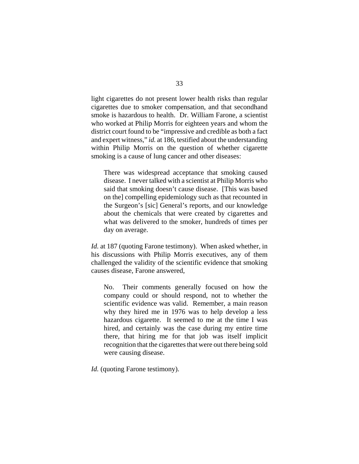light cigarettes do not present lower health risks than regular cigarettes due to smoker compensation, and that secondhand smoke is hazardous to health. Dr. William Farone, a scientist who worked at Philip Morris for eighteen years and whom the district court found to be "impressive and credible as both a fact and expert witness," *id.* at 186, testified about the understanding within Philip Morris on the question of whether cigarette smoking is a cause of lung cancer and other diseases:

There was widespread acceptance that smoking caused disease. I never talked with a scientist at Philip Morris who said that smoking doesn't cause disease. [This was based on the] compelling epidemiology such as that recounted in the Surgeon's [sic] General's reports, and our knowledge about the chemicals that were created by cigarettes and what was delivered to the smoker, hundreds of times per day on average.

*Id.* at 187 (quoting Farone testimony). When asked whether, in his discussions with Philip Morris executives, any of them challenged the validity of the scientific evidence that smoking causes disease, Farone answered,

No. Their comments generally focused on how the company could or should respond, not to whether the scientific evidence was valid. Remember, a main reason why they hired me in 1976 was to help develop a less hazardous cigarette. It seemed to me at the time I was hired, and certainly was the case during my entire time there, that hiring me for that job was itself implicit recognition that the cigarettes that were out there being sold were causing disease.

*Id.* (quoting Farone testimony).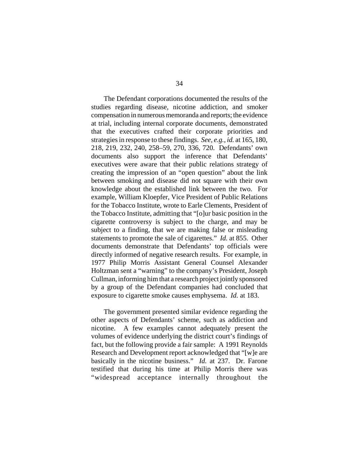The Defendant corporations documented the results of the studies regarding disease, nicotine addiction, and smoker compensation in numerous memoranda and reports; the evidence at trial, including internal corporate documents, demonstrated that the executives crafted their corporate priorities and strategies in response to these findings. *See, e.g.*, *id.* at 165, 180, 218, 219, 232, 240, 258–59, 270, 336, 720. Defendants' own documents also support the inference that Defendants' executives were aware that their public relations strategy of creating the impression of an "open question" about the link between smoking and disease did not square with their own knowledge about the established link between the two. For example, William Kloepfer, Vice President of Public Relations for the Tobacco Institute, wrote to Earle Clements, President of the Tobacco Institute, admitting that "[o]ur basic position in the cigarette controversy is subject to the charge, and may be subject to a finding, that we are making false or misleading statements to promote the sale of cigarettes." *Id.* at 855. Other documents demonstrate that Defendants' top officials were directly informed of negative research results. For example, in 1977 Philip Morris Assistant General Counsel Alexander Holtzman sent a "warning" to the company's President, Joseph Cullman, informing him that a research project jointly sponsored by a group of the Defendant companies had concluded that exposure to cigarette smoke causes emphysema. *Id.* at 183.

The government presented similar evidence regarding the other aspects of Defendants' scheme, such as addiction and nicotine. A few examples cannot adequately present the volumes of evidence underlying the district court's findings of fact, but the following provide a fair sample: A 1991 Reynolds Research and Development report acknowledged that "[w]e are basically in the nicotine business." *Id.* at 237. Dr. Farone testified that during his time at Philip Morris there was "widespread acceptance internally throughout the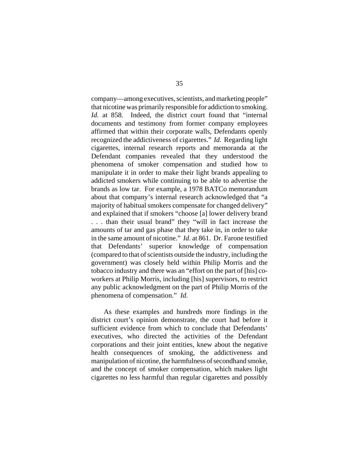company—among executives, scientists, and marketing people" that nicotine was primarily responsible for addiction to smoking. *Id.* at 858. Indeed, the district court found that "internal documents and testimony from former company employees affirmed that within their corporate walls, Defendants openly recognized the addictiveness of cigarettes." *Id.* Regarding light cigarettes, internal research reports and memoranda at the Defendant companies revealed that they understood the phenomena of smoker compensation and studied how to manipulate it in order to make their light brands appealing to addicted smokers while continuing to be able to advertise the brands as low tar. For example, a 1978 BATCo memorandum about that company's internal research acknowledged that "a majority of habitual smokers compensate for changed delivery" and explained that if smokers "choose [a] lower delivery brand . . . than their usual brand" they "will in fact increase the amounts of tar and gas phase that they take in, in order to take in the same amount of nicotine." *Id.* at 861. Dr. Farone testified that Defendants' superior knowledge of compensation (compared to that of scientists outside the industry, including the government) was closely held within Philip Morris and the tobacco industry and there was an "effort on the part of [his] coworkers at Philip Morris, including [his] supervisors, to restrict any public acknowledgment on the part of Philip Morris of the phenomena of compensation." *Id.*

As these examples and hundreds more findings in the district court's opinion demonstrate, the court had before it sufficient evidence from which to conclude that Defendants' executives, who directed the activities of the Defendant corporations and their joint entities, knew about the negative health consequences of smoking, the addictiveness and manipulation of nicotine, the harmfulness of secondhand smoke, and the concept of smoker compensation, which makes light cigarettes no less harmful than regular cigarettes and possibly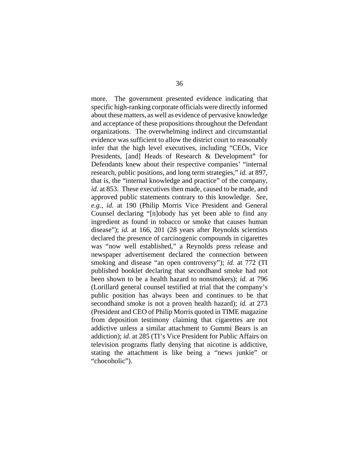more. The government presented evidence indicating that specific high-ranking corporate officials were directly informed about these matters, as well as evidence of pervasive knowledge and acceptance of these propositions throughout the Defendant organizations. The overwhelming indirect and circumstantial evidence was sufficient to allow the district court to reasonably infer that the high level executives, including "CEOs, Vice Presidents, [and] Heads of Research & Development" for Defendants knew about their respective companies' "internal research, public positions, and long term strategies," *id.* at 897, that is, the "internal knowledge and practice" of the company, *id.* at 853. These executives then made, caused to be made, and approved public statements contrary to this knowledge. *See, e.g.*, *id.* at 190 (Philip Morris Vice President and General Counsel declaring "[n]obody has yet been able to find any ingredient as found in tobacco or smoke that causes human disease"); *id.* at 166, 201 (28 years after Reynolds scientists declared the presence of carcinogenic compounds in cigarettes was "now well established," a Reynolds press release and newspaper advertisement declared the connection between smoking and disease "an open controversy"); *id.* at 772 (TI published booklet declaring that secondhand smoke had not been shown to be a health hazard to nonsmokers); *id.* at 796 (Lorillard general counsel testified at trial that the company's public position has always been and continues to be that secondhand smoke is not a proven health hazard); *id.* at 273 (President and CEO of Philip Morris quoted in TIME magazine from deposition testimony claiming that cigarettes are not addictive unless a similar attachment to Gummi Bears is an addiction); *id.* at 285 (TI's Vice President for Public Affairs on television programs flatly denying that nicotine is addictive, stating the attachment is like being a "news junkie" or "chocoholic").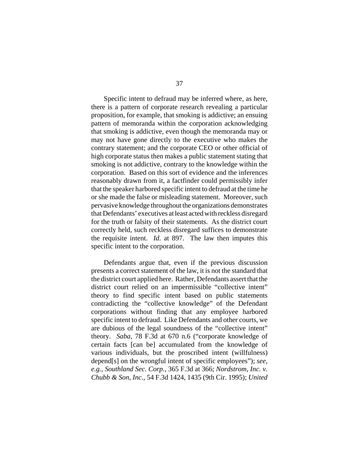Specific intent to defraud may be inferred where, as here, there is a pattern of corporate research revealing a particular proposition, for example, that smoking is addictive; an ensuing pattern of memoranda within the corporation acknowledging that smoking is addictive, even though the memoranda may or may not have gone directly to the executive who makes the contrary statement; and the corporate CEO or other official of high corporate status then makes a public statement stating that smoking is not addictive, contrary to the knowledge within the corporation. Based on this sort of evidence and the inferences reasonably drawn from it, a factfinder could permissibly infer that the speaker harbored specific intent to defraud at the time he or she made the false or misleading statement. Moreover, such pervasive knowledge throughout the organizations demonstrates that Defendants' executives at least acted with reckless disregard for the truth or falsity of their statements. As the district court correctly held, such reckless disregard suffices to demonstrate the requisite intent. *Id.* at 897. The law then imputes this specific intent to the corporation.

Defendants argue that, even if the previous discussion presents a correct statement of the law, it is not the standard that the district court applied here. Rather, Defendants assert that the district court relied on an impermissible "collective intent" theory to find specific intent based on public statements contradicting the "collective knowledge" of the Defendant corporations without finding that any employee harbored specific intent to defraud. Like Defendants and other courts, we are dubious of the legal soundness of the "collective intent" theory. *Saba*, 78 F.3d at 670 n.6 ("corporate knowledge of certain facts [can be] accumulated from the knowledge of various individuals, but the proscribed intent (willfulness) depend[s] on the wrongful intent of specific employees"); *see, e.g.*, *Southland Sec. Corp.*, 365 F.3d at 366; *Nordstrom, Inc. v. Chubb & Son, Inc.*, 54 F.3d 1424, 1435 (9th Cir. 1995); *United*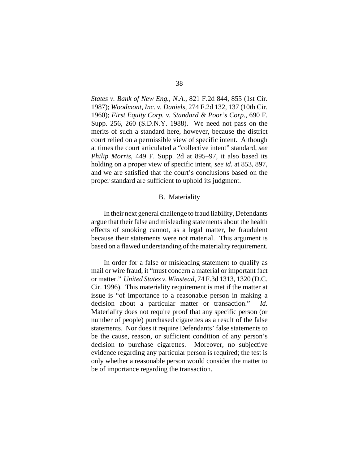*States v. Bank of New Eng., N.A.*, 821 F.2d 844, 855 (1st Cir. 1987); *Woodmont, Inc. v. Daniels*, 274 F.2d 132, 137 (10th Cir. 1960); *First Equity Corp. v. Standard & Poor's Corp.*, 690 F. Supp. 256, 260 (S.D.N.Y. 1988). We need not pass on the merits of such a standard here, however, because the district court relied on a permissible view of specific intent. Although at times the court articulated a "collective intent" standard, *see Philip Morris*, 449 F. Supp. 2d at 895–97, it also based its holding on a proper view of specific intent, *see id.* at 853, 897, and we are satisfied that the court's conclusions based on the proper standard are sufficient to uphold its judgment.

# B. Materiality

In their next general challenge to fraud liability, Defendants argue that their false and misleading statements about the health effects of smoking cannot, as a legal matter, be fraudulent because their statements were not material. This argument is based on a flawed understanding of the materiality requirement.

In order for a false or misleading statement to qualify as mail or wire fraud, it "must concern a material or important fact or matter." *United States v. Winstead*, 74 F.3d 1313, 1320 (D.C. Cir. 1996). This materiality requirement is met if the matter at issue is "of importance to a reasonable person in making a decision about a particular matter or transaction." *Id.* Materiality does not require proof that any specific person (or number of people) purchased cigarettes as a result of the false statements. Nor does it require Defendants' false statements to be the cause, reason, or sufficient condition of any person's decision to purchase cigarettes. Moreover, no subjective evidence regarding any particular person is required; the test is only whether a reasonable person would consider the matter to be of importance regarding the transaction.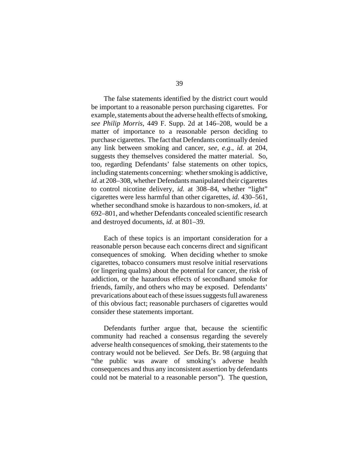The false statements identified by the district court would be important to a reasonable person purchasing cigarettes. For example, statements about the adverse health effects of smoking, *see Philip Morris*, 449 F. Supp. 2d at 146–208, would be a matter of importance to a reasonable person deciding to purchase cigarettes. The fact that Defendants continually denied any link between smoking and cancer, *see, e.g.*, *id.* at 204, suggests they themselves considered the matter material. So, too, regarding Defendants' false statements on other topics, including statements concerning: whether smoking is addictive, *id.* at 208–308, whether Defendants manipulated their cigarettes to control nicotine delivery, *id.* at 308–84, whether "light" cigarettes were less harmful than other cigarettes, *id.* 430–561, whether secondhand smoke is hazardous to non-smokers, *id.* at 692–801, and whether Defendants concealed scientific research and destroyed documents, *id.* at 801–39.

Each of these topics is an important consideration for a reasonable person because each concerns direct and significant consequences of smoking. When deciding whether to smoke cigarettes, tobacco consumers must resolve initial reservations (or lingering qualms) about the potential for cancer, the risk of addiction, or the hazardous effects of secondhand smoke for friends, family, and others who may be exposed. Defendants' prevarications about each of these issues suggests full awareness of this obvious fact; reasonable purchasers of cigarettes would consider these statements important.

Defendants further argue that, because the scientific community had reached a consensus regarding the severely adverse health consequences of smoking, their statements to the contrary would not be believed. *See* Defs. Br. 98 (arguing that "the public was aware of smoking's adverse health consequences and thus any inconsistent assertion by defendants could not be material to a reasonable person"). The question,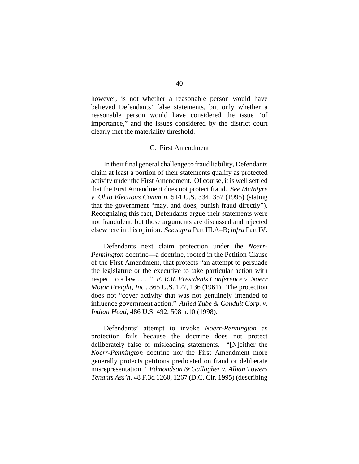however, is not whether a reasonable person would have believed Defendants' false statements, but only whether a reasonable person would have considered the issue "of importance," and the issues considered by the district court clearly met the materiality threshold.

# C. First Amendment

In their final general challenge to fraud liability, Defendants claim at least a portion of their statements qualify as protected activity under the First Amendment. Of course, it is well settled that the First Amendment does not protect fraud. *See McIntyre v. Ohio Elections Comm'n*, 514 U.S. 334, 357 (1995) (stating that the government "may, and does, punish fraud directly"). Recognizing this fact, Defendants argue their statements were not fraudulent, but those arguments are discussed and rejected elsewhere in this opinion. *See supra* Part III.A–B; *infra* Part IV.

Defendants next claim protection under the *Noerr-Pennington* doctrine—a doctrine, rooted in the Petition Clause of the First Amendment, that protects "an attempt to persuade the legislature or the executive to take particular action with respect to a law . . . ." *E. R.R. Presidents Conference v. Noerr Motor Freight, Inc.*, 365 U.S. 127, 136 (1961). The protection does not "cover activity that was not genuinely intended to influence government action." *Allied Tube & Conduit Corp. v. Indian Head*, 486 U.S. 492, 508 n.10 (1998).

Defendants' attempt to invoke *Noerr-Pennington* as protection fails because the doctrine does not protect deliberately false or misleading statements. "[N]either the *Noerr-Pennington* doctrine nor the First Amendment more generally protects petitions predicated on fraud or deliberate misrepresentation." *Edmondson & Gallagher v. Alban Towers Tenants Ass'n*, 48 F.3d 1260, 1267 (D.C. Cir. 1995) (describing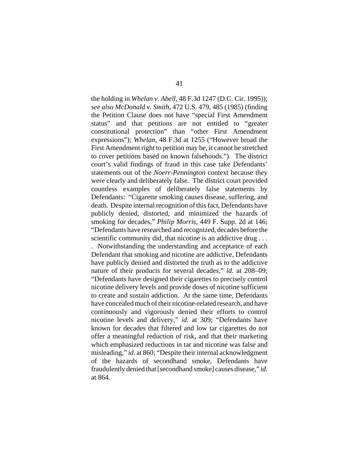the holding in *Whelan v. Abell*, 48 F.3d 1247 (D.C. Cir. 1995)); *see also McDonald v. Smith*, 472 U.S. 479, 485 (1985) (finding the Petition Clause does not have "special First Amendment status" and that petitions are not entitled to "greater constitutional protection" than "other First Amendment expressions"); *Whelan*, 48 F.3d at 1255 ("However broad the First Amendment right to petition may be, it cannot be stretched to cover petitions based on known falsehoods."). The district court's valid findings of fraud in this case take Defendants' statements out of the *Noerr-Pennington* context because they were clearly and deliberately false. The district court provided countless examples of deliberately false statements by Defendants: "Cigarette smoking causes disease, suffering, and death. Despite internal recognition of this fact, Defendants have publicly denied, distorted, and minimized the hazards of smoking for decades," *Philip Morris*, 449 F. Supp. 2d at 146; "Defendants have researched and recognized, decades before the scientific community did, that nicotine is an addictive drug ...

. Notwithstanding the understanding and acceptance of each Defendant that smoking and nicotine are addictive, Defendants have publicly denied and distorted the truth as to the addictive nature of their products for several decades," *id.* at 208–09; "Defendants have designed their cigarettes to precisely control nicotine delivery levels and provide doses of nicotine sufficient to create and sustain addiction. At the same time, Defendants have concealed much of their nicotine-related research, and have continuously and vigorously denied their efforts to control nicotine levels and delivery," *id.* at 309; "Defendants have known for decades that filtered and low tar cigarettes do not offer a meaningful reduction of risk, and that their marketing which emphasized reductions in tar and nicotine was false and misleading," *id.* at 860; "Despite their internal acknowledgment of the hazards of secondhand smoke, Defendants have fraudulently denied that [secondhand smoke] causes disease," *id.* at 864.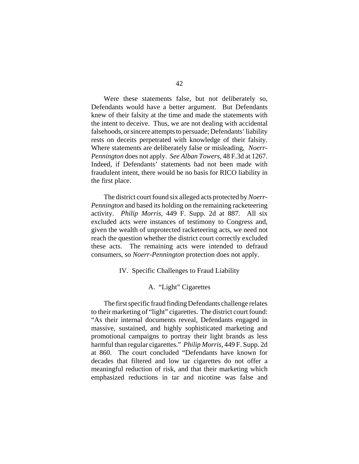Were these statements false, but not deliberately so, Defendants would have a better argument. But Defendants knew of their falsity at the time and made the statements with the intent to deceive. Thus, we are not dealing with accidental falsehoods, or sincere attempts to persuade; Defendants' liability rests on deceits perpetrated with knowledge of their falsity. Where statements are deliberately false or misleading, *Noerr-Pennington* does not apply. *See Alban Towers*, 48 F.3d at 1267. Indeed, if Defendants' statements had not been made with fraudulent intent, there would be no basis for RICO liability in the first place.

The district court found six alleged acts protected by *Noerr-Pennington* and based its holding on the remaining racketeering activity. *Philip Morris*, 449 F. Supp. 2d at 887. All six excluded acts were instances of testimony to Congress and, given the wealth of unprotected racketeering acts, we need not reach the question whether the district court correctly excluded these acts. The remaining acts were intended to defraud consumers, so *Noerr-Pennington* protection does not apply.

## IV. Specific Challenges to Fraud Liability

# A. "Light" Cigarettes

The first specific fraud finding Defendants challenge relates to their marketing of "light" cigarettes. The district court found: "As their internal documents reveal, Defendants engaged in massive, sustained, and highly sophisticated marketing and promotional campaigns to portray their light brands as less harmful than regular cigarettes." *Philip Morris*, 449 F. Supp. 2d at 860. The court concluded "Defendants have known for decades that filtered and low tar cigarettes do not offer a meaningful reduction of risk, and that their marketing which emphasized reductions in tar and nicotine was false and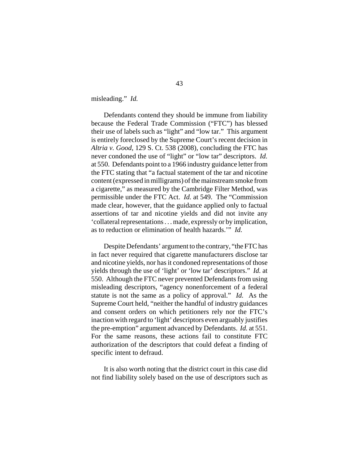misleading." *Id.*

Defendants contend they should be immune from liability because the Federal Trade Commission ("FTC") has blessed their use of labels such as "light" and "low tar." This argument is entirely foreclosed by the Supreme Court's recent decision in *Altria v. Good*, 129 S. Ct. 538 (2008), concluding the FTC has never condoned the use of "light" or "low tar" descriptors. *Id.* at 550. Defendants point to a 1966 industry guidance letter from the FTC stating that "a factual statement of the tar and nicotine content (expressed in milligrams) of the mainstream smoke from a cigarette," as measured by the Cambridge Filter Method, was permissible under the FTC Act. *Id.* at 549. The "Commission made clear, however, that the guidance applied only to factual assertions of tar and nicotine yields and did not invite any 'collateral representations . . . made, expressly or by implication, as to reduction or elimination of health hazards.'" *Id.*

Despite Defendants' argument to the contrary, "the FTC has in fact never required that cigarette manufacturers disclose tar and nicotine yields, nor has it condoned representations of those yields through the use of 'light' or 'low tar' descriptors." *Id.* at 550. Although the FTC never prevented Defendants from using misleading descriptors, "agency nonenforcement of a federal statute is not the same as a policy of approval." *Id.* As the Supreme Court held, "neither the handful of industry guidances and consent orders on which petitioners rely nor the FTC's inaction with regard to 'light' descriptors even arguably justifies the pre-emption" argument advanced by Defendants. *Id.* at 551. For the same reasons, these actions fail to constitute FTC authorization of the descriptors that could defeat a finding of specific intent to defraud.

It is also worth noting that the district court in this case did not find liability solely based on the use of descriptors such as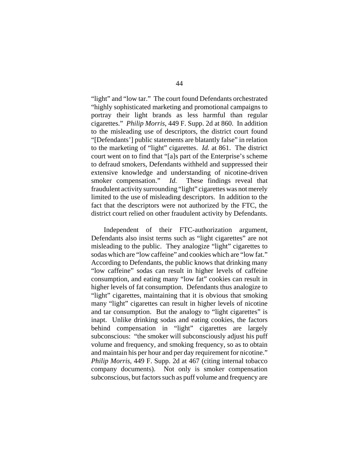"light" and "low tar." The court found Defendants orchestrated "highly sophisticated marketing and promotional campaigns to portray their light brands as less harmful than regular cigarettes." *Philip Morris*, 449 F. Supp. 2d at 860. In addition to the misleading use of descriptors, the district court found "[Defendants'] public statements are blatantly false" in relation to the marketing of "light" cigarettes. *Id.* at 861. The district court went on to find that "[a]s part of the Enterprise's scheme to defraud smokers, Defendants withheld and suppressed their extensive knowledge and understanding of nicotine-driven smoker compensation." *Id.* These findings reveal that fraudulent activity surrounding "light" cigarettes was not merely limited to the use of misleading descriptors. In addition to the fact that the descriptors were not authorized by the FTC, the district court relied on other fraudulent activity by Defendants.

Independent of their FTC-authorization argument, Defendants also insist terms such as "light cigarettes" are not misleading to the public. They analogize "light" cigarettes to sodas which are "low caffeine" and cookies which are "low fat." According to Defendants, the public knows that drinking many "low caffeine" sodas can result in higher levels of caffeine consumption, and eating many "low fat" cookies can result in higher levels of fat consumption. Defendants thus analogize to "light" cigarettes, maintaining that it is obvious that smoking many "light" cigarettes can result in higher levels of nicotine and tar consumption. But the analogy to "light cigarettes" is inapt. Unlike drinking sodas and eating cookies, the factors behind compensation in "light" cigarettes are largely subconscious: "the smoker will subconsciously adjust his puff volume and frequency, and smoking frequency, so as to obtain and maintain his per hour and per day requirement for nicotine." *Philip Morris*, 449 F. Supp. 2d at 467 (citing internal tobacco company documents). Not only is smoker compensation subconscious, but factors such as puff volume and frequency are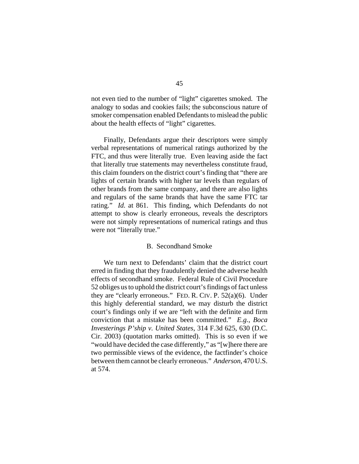not even tied to the number of "light" cigarettes smoked. The analogy to sodas and cookies fails; the subconscious nature of smoker compensation enabled Defendants to mislead the public about the health effects of "light" cigarettes.

Finally, Defendants argue their descriptors were simply verbal representations of numerical ratings authorized by the FTC, and thus were literally true. Even leaving aside the fact that literally true statements may nevertheless constitute fraud, this claim founders on the district court's finding that "there are lights of certain brands with higher tar levels than regulars of other brands from the same company, and there are also lights and regulars of the same brands that have the same FTC tar rating." *Id.* at 861. This finding, which Defendants do not attempt to show is clearly erroneous, reveals the descriptors were not simply representations of numerical ratings and thus were not "literally true."

### B. Secondhand Smoke

We turn next to Defendants' claim that the district court erred in finding that they fraudulently denied the adverse health effects of secondhand smoke. Federal Rule of Civil Procedure 52 obliges us to uphold the district court's findings of fact unless they are "clearly erroneous." FED. R. CIV. P. 52(a)(6). Under this highly deferential standard, we may disturb the district court's findings only if we are "left with the definite and firm conviction that a mistake has been committed." *E.g.*, *Boca Investerings P'ship v. United States*, 314 F.3d 625, 630 (D.C. Cir. 2003) (quotation marks omitted). This is so even if we "would have decided the case differently," as "[w]here there are two permissible views of the evidence, the factfinder's choice between them cannot be clearly erroneous." *Anderson*, 470 U.S. at 574.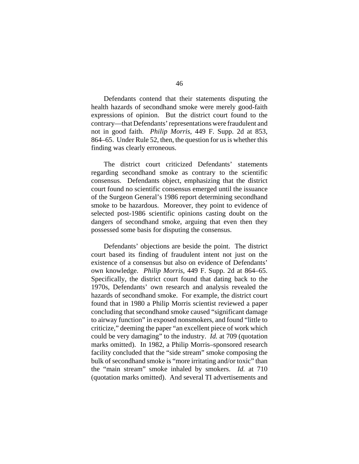Defendants contend that their statements disputing the health hazards of secondhand smoke were merely good-faith expressions of opinion. But the district court found to the contrary—that Defendants' representations were fraudulent and not in good faith. *Philip Morris*, 449 F. Supp. 2d at 853, 864–65. Under Rule 52, then, the question for us is whether this finding was clearly erroneous.

The district court criticized Defendants' statements regarding secondhand smoke as contrary to the scientific consensus. Defendants object, emphasizing that the district court found no scientific consensus emerged until the issuance of the Surgeon General's 1986 report determining secondhand smoke to be hazardous. Moreover, they point to evidence of selected post-1986 scientific opinions casting doubt on the dangers of secondhand smoke, arguing that even then they possessed some basis for disputing the consensus.

Defendants' objections are beside the point. The district court based its finding of fraudulent intent not just on the existence of a consensus but also on evidence of Defendants' own knowledge. *Philip Morris*, 449 F. Supp. 2d at 864–65. Specifically, the district court found that dating back to the 1970s, Defendants' own research and analysis revealed the hazards of secondhand smoke. For example, the district court found that in 1980 a Philip Morris scientist reviewed a paper concluding that secondhand smoke caused "significant damage to airway function" in exposed nonsmokers, and found "little to criticize," deeming the paper "an excellent piece of work which could be very damaging" to the industry. *Id.* at 709 (quotation marks omitted). In 1982, a Philip Morris–sponsored research facility concluded that the "side stream" smoke composing the bulk of secondhand smoke is "more irritating and/or toxic" than the "main stream" smoke inhaled by smokers. *Id.* at 710 (quotation marks omitted). And several TI advertisements and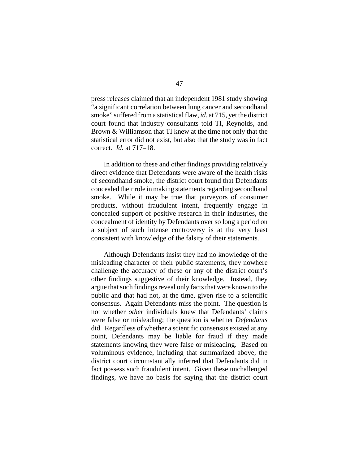press releases claimed that an independent 1981 study showing "a significant correlation between lung cancer and secondhand smoke" suffered from a statistical flaw, *id.* at 715, yet the district court found that industry consultants told TI, Reynolds, and Brown & Williamson that TI knew at the time not only that the statistical error did not exist, but also that the study was in fact correct. *Id.* at 717–18.

In addition to these and other findings providing relatively direct evidence that Defendants were aware of the health risks of secondhand smoke, the district court found that Defendants concealed their role in making statements regarding secondhand smoke. While it may be true that purveyors of consumer products, without fraudulent intent, frequently engage in concealed support of positive research in their industries, the concealment of identity by Defendants over so long a period on a subject of such intense controversy is at the very least consistent with knowledge of the falsity of their statements.

Although Defendants insist they had no knowledge of the misleading character of their public statements, they nowhere challenge the accuracy of these or any of the district court's other findings suggestive of their knowledge. Instead, they argue that such findings reveal only facts that were known to the public and that had not, at the time, given rise to a scientific consensus. Again Defendants miss the point. The question is not whether *other* individuals knew that Defendants' claims were false or misleading; the question is whether *Defendants* did. Regardless of whether a scientific consensus existed at any point, Defendants may be liable for fraud if they made statements knowing they were false or misleading. Based on voluminous evidence, including that summarized above, the district court circumstantially inferred that Defendants did in fact possess such fraudulent intent. Given these unchallenged findings, we have no basis for saying that the district court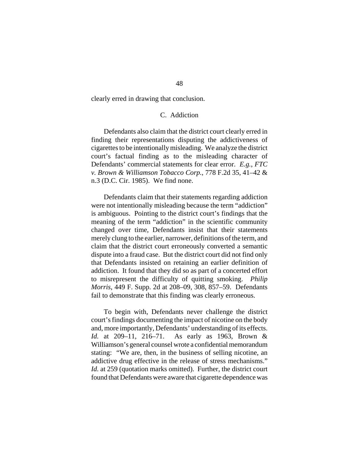clearly erred in drawing that conclusion.

# C. Addiction

Defendants also claim that the district court clearly erred in finding their representations disputing the addictiveness of cigarettes to be intentionally misleading. We analyze the district court's factual finding as to the misleading character of Defendants' commercial statements for clear error. *E.g.*, *FTC v. Brown & Williamson Tobacco Corp.*, 778 F.2d 35, 41–42 & n.3 (D.C. Cir. 1985). We find none.

Defendants claim that their statements regarding addiction were not intentionally misleading because the term "addiction" is ambiguous. Pointing to the district court's findings that the meaning of the term "addiction" in the scientific community changed over time, Defendants insist that their statements merely clung to the earlier, narrower, definitions of the term, and claim that the district court erroneously converted a semantic dispute into a fraud case. But the district court did not find only that Defendants insisted on retaining an earlier definition of addiction. It found that they did so as part of a concerted effort to misrepresent the difficulty of quitting smoking. *Philip Morris*, 449 F. Supp. 2d at 208–09, 308, 857–59. Defendants fail to demonstrate that this finding was clearly erroneous.

To begin with, Defendants never challenge the district court's findings documenting the impact of nicotine on the body and, more importantly, Defendants' understanding of its effects. *Id.* at 209–11, 216–71. As early as 1963, Brown & Williamson's general counsel wrote a confidential memorandum stating: "We are, then, in the business of selling nicotine, an addictive drug effective in the release of stress mechanisms." *Id.* at 259 (quotation marks omitted). Further, the district court found that Defendants were aware that cigarette dependence was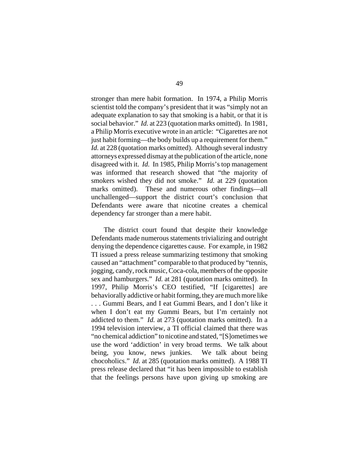stronger than mere habit formation. In 1974, a Philip Morris scientist told the company's president that it was "simply not an adequate explanation to say that smoking is a habit, or that it is social behavior." *Id.* at 223 (quotation marks omitted). In 1981, a Philip Morris executive wrote in an article: "Cigarettes are not just habit forming—the body builds up a requirement for them." *Id.* at 228 (quotation marks omitted). Although several industry attorneys expressed dismay at the publication of the article, none disagreed with it. *Id.* In 1985, Philip Morris's top management was informed that research showed that "the majority of smokers wished they did not smoke." *Id.* at 229 (quotation marks omitted). These and numerous other findings—all unchallenged—support the district court's conclusion that Defendants were aware that nicotine creates a chemical dependency far stronger than a mere habit.

The district court found that despite their knowledge Defendants made numerous statements trivializing and outright denying the dependence cigarettes cause. For example, in 1982 TI issued a press release summarizing testimony that smoking caused an "attachment" comparable to that produced by "tennis, jogging, candy, rock music, Coca-cola, members of the opposite sex and hamburgers." *Id.* at 281 (quotation marks omitted). In 1997, Philip Morris's CEO testified, "If [cigarettes] are behaviorally addictive or habit forming, they are much more like . . . Gummi Bears, and I eat Gummi Bears, and I don't like it when I don't eat my Gummi Bears, but I'm certainly not addicted to them." *Id.* at 273 (quotation marks omitted). In a 1994 television interview, a TI official claimed that there was "no chemical addiction" to nicotine and stated, "[S]ometimes we use the word 'addiction' in very broad terms. We talk about being, you know, news junkies. We talk about being chocoholics." *Id.* at 285 (quotation marks omitted). A 1988 TI press release declared that "it has been impossible to establish that the feelings persons have upon giving up smoking are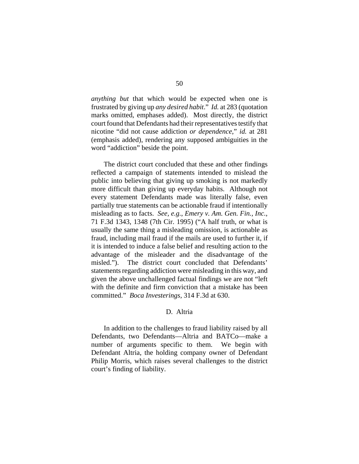*anything but* that which would be expected when one is frustrated by giving up *any desired habit*." *Id.* at 283 (quotation marks omitted, emphases added). Most directly, the district court found that Defendants had their representatives testify that nicotine "did not cause addiction *or dependence*," *id.* at 281 (emphasis added), rendering any supposed ambiguities in the word "addiction" beside the point.

The district court concluded that these and other findings reflected a campaign of statements intended to mislead the public into believing that giving up smoking is not markedly more difficult than giving up everyday habits. Although not every statement Defendants made was literally false, even partially true statements can be actionable fraud if intentionally misleading as to facts. *See, e.g.*, *Emery v. Am. Gen. Fin., Inc.*, 71 F.3d 1343, 1348 (7th Cir. 1995) ("A half truth, or what is usually the same thing a misleading omission, is actionable as fraud, including mail fraud if the mails are used to further it, if it is intended to induce a false belief and resulting action to the advantage of the misleader and the disadvantage of the misled."). The district court concluded that Defendants' statements regarding addiction were misleading in this way, and given the above unchallenged factual findings we are not "left with the definite and firm conviction that a mistake has been committed." *Boca Investerings*, 314 F.3d at 630.

### D. Altria

In addition to the challenges to fraud liability raised by all Defendants, two Defendants—Altria and BATCo—make a number of arguments specific to them. We begin with Defendant Altria, the holding company owner of Defendant Philip Morris, which raises several challenges to the district court's finding of liability.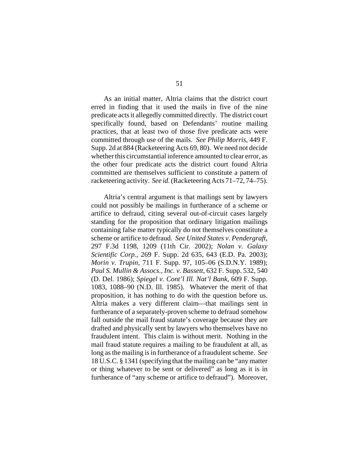As an initial matter, Altria claims that the district court erred in finding that it used the mails in five of the nine predicate acts it allegedly committed directly. The district court specifically found, based on Defendants' routine mailing practices, that at least two of those five predicate acts were committed through use of the mails. *See Philip Morris*, 449 F. Supp. 2d at 884 (Racketeering Acts 69, 80). We need not decide whether this circumstantial inference amounted to clear error, as the other four predicate acts the district court found Altria committed are themselves sufficient to constitute a pattern of racketeering activity. *See id.* (Racketeering Acts 71–72, 74–75).

Altria's central argument is that mailings sent by lawyers could not possibly be mailings in furtherance of a scheme or artifice to defraud, citing several out-of-circuit cases largely standing for the proposition that ordinary litigation mailings containing false matter typically do not themselves constitute a scheme or artifice to defraud. *See United States v. Pendergraft*, 297 F.3d 1198, 1209 (11th Cir. 2002); *Nolan v. Galaxy Scientific Corp.*, 269 F. Supp. 2d 635, 643 (E.D. Pa. 2003); *Morin v. Trupin*, 711 F. Supp. 97, 105–06 (S.D.N.Y. 1989); *Paul S. Mullin & Assocs., Inc. v. Bassett*, 632 F. Supp. 532, 540 (D. Del. 1986); *Spiegel v. Cont'l Ill. Nat'l Bank*, 609 F. Supp. 1083, 1088–90 (N.D. Ill. 1985). Whatever the merit of that proposition, it has nothing to do with the question before us. Altria makes a very different claim—that mailings sent in furtherance of a separately-proven scheme to defraud somehow fall outside the mail fraud statute's coverage because they are drafted and physically sent by lawyers who themselves have no fraudulent intent. This claim is without merit. Nothing in the mail fraud statute requires a mailing to be fraudulent at all, as long as the mailing is in furtherance of a fraudulent scheme. *See* 18 U.S.C. § 1341 (specifying that the mailing can be "any matter or thing whatever to be sent or delivered" as long as it is in furtherance of "any scheme or artifice to defraud"). Moreover,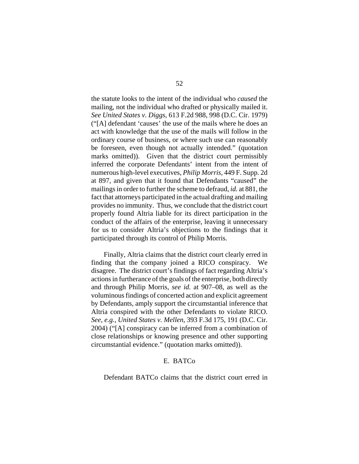the statute looks to the intent of the individual who *caused* the mailing, not the individual who drafted or physically mailed it. *See United States v. Diggs*, 613 F.2d 988, 998 (D.C. Cir. 1979) ("[A] defendant 'causes' the use of the mails where he does an act with knowledge that the use of the mails will follow in the ordinary course of business, or where such use can reasonably be foreseen, even though not actually intended." (quotation marks omitted)). Given that the district court permissibly inferred the corporate Defendants' intent from the intent of numerous high-level executives, *Philip Morris*, 449 F. Supp. 2d at 897, and given that it found that Defendants "caused" the mailings in order to further the scheme to defraud, *id.* at 881, the fact that attorneys participated in the actual drafting and mailing provides no immunity. Thus, we conclude that the district court properly found Altria liable for its direct participation in the conduct of the affairs of the enterprise, leaving it unnecessary for us to consider Altria's objections to the findings that it participated through its control of Philip Morris.

Finally, Altria claims that the district court clearly erred in finding that the company joined a RICO conspiracy. We disagree. The district court's findings of fact regarding Altria's actions in furtherance of the goals of the enterprise, both directly and through Philip Morris, *see id.* at 907–08, as well as the voluminous findings of concerted action and explicit agreement by Defendants, amply support the circumstantial inference that Altria conspired with the other Defendants to violate RICO. *See, e.g.*, *United States v. Mellen*, 393 F.3d 175, 191 (D.C. Cir. 2004) ("[A] conspiracy can be inferred from a combination of close relationships or knowing presence and other supporting circumstantial evidence." (quotation marks omitted)).

# E. BATCo

Defendant BATCo claims that the district court erred in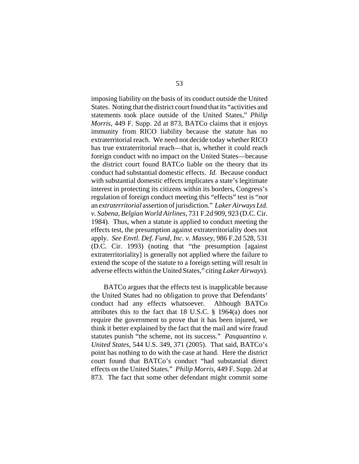imposing liability on the basis of its conduct outside the United States. Noting that the district court found that its "activities and statements took place outside of the United States," *Philip Morris*, 449 F. Supp. 2d at 873, BATCo claims that it enjoys immunity from RICO liability because the statute has no extraterritorial reach. We need not decide today whether RICO has true extraterritorial reach—that is, whether it could reach foreign conduct with no impact on the United States—because the district court found BATCo liable on the theory that its conduct had substantial domestic effects. *Id.* Because conduct with substantial domestic effects implicates a state's legitimate interest in protecting its citizens within its borders, Congress's regulation of foreign conduct meeting this "effects" test is "*not* an *extraterritorial* assertion of jurisdiction." *Laker Airways Ltd. v. Sabena, Belgian World Airlines*, 731 F.2d 909, 923 (D.C. Cir. 1984). Thus, when a statute is applied to conduct meeting the effects test, the presumption against extraterritoriality does not apply. *See Envtl. Def. Fund, Inc. v. Massey*, 986 F.2d 528, 531 (D.C. Cir. 1993) (noting that "the presumption [against extraterritoriality] is generally not applied where the failure to extend the scope of the statute to a foreign setting will result in adverse effects within the United States," citing *Laker Airways*).

BATCo argues that the effects test is inapplicable because the United States had no obligation to prove that Defendants' conduct had any effects whatsoever. Although BATCo attributes this to the fact that 18 U.S.C. § 1964(a) does not require the government to prove that it has been injured, we think it better explained by the fact that the mail and wire fraud statutes punish "the scheme, not its success." *Pasquantino v. United States*, 544 U.S. 349, 371 (2005). That said, BATCo's point has nothing to do with the case at hand. Here the district court found that BATCo's conduct "had substantial direct effects on the United States." *Philip Morris*, 449 F. Supp. 2d at 873. The fact that some other defendant might commit some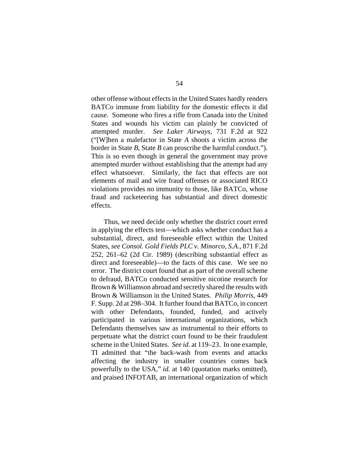other offense without effects in the United States hardly renders BATCo immune from liability for the domestic effects it did cause. Someone who fires a rifle from Canada into the United States and wounds his victim can plainly be convicted of attempted murder. *See Laker Airways*, 731 F.2d at 922 ("[W]hen a malefactor in State *A* shoots a victim across the border in State *B*, State *B* can proscribe the harmful conduct."). This is so even though in general the government may prove attempted murder without establishing that the attempt had any effect whatsoever. Similarly, the fact that effects are not elements of mail and wire fraud offenses or associated RICO violations provides no immunity to those, like BATCo, whose fraud and racketeering has substantial and direct domestic effects.

Thus, we need decide only whether the district court erred in applying the effects test—which asks whether conduct has a substantial, direct, and foreseeable effect within the United States, *see Consol. Gold Fields PLC v. Minorco, S.A.*, 871 F.2d 252, 261–62 (2d Cir. 1989) (describing substantial effect as direct and foreseeable)—to the facts of this case. We see no error. The district court found that as part of the overall scheme to defraud, BATCo conducted sensitive nicotine research for Brown & Williamson abroad and secretly shared the results with Brown & Williamson in the United States. *Philip Morris*, 449 F. Supp. 2d at 298–304. It further found that BATCo, in concert with other Defendants, founded, funded, and actively participated in various international organizations, which Defendants themselves saw as instrumental to their efforts to perpetuate what the district court found to be their fraudulent scheme in the United States. *See id.* at 119–23. In one example, TI admitted that "the back-wash from events and attacks affecting the industry in smaller countries comes back powerfully to the USA," *id.* at 140 (quotation marks omitted), and praised INFOTAB, an international organization of which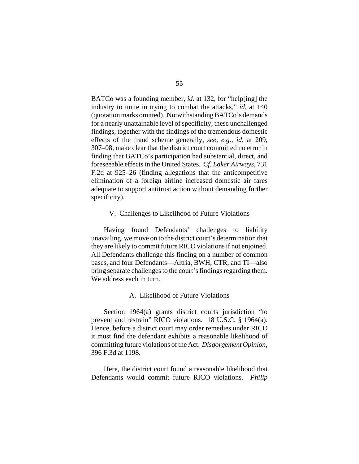BATCo was a founding member, *id.* at 132, for "help[ing] the industry to unite in trying to combat the attacks," *id.* at 140 (quotation marks omitted). Notwithstanding BATCo's demands for a nearly unattainable level of specificity, these unchallenged findings, together with the findings of the tremendous domestic effects of the fraud scheme generally, *see, e.g.*, *id.* at 209, 307–08, make clear that the district court committed no error in finding that BATCo's participation had substantial, direct, and foreseeable effects in the United States. *Cf. Laker Airways*, 731 F.2d at 925–26 (finding allegations that the anticompetitive elimination of a foreign airline increased domestic air fares adequate to support antitrust action without demanding further specificity).

### V. Challenges to Likelihood of Future Violations

Having found Defendants' challenges to liability unavailing, we move on to the district court's determination that they are likely to commit future RICO violations if not enjoined. All Defendants challenge this finding on a number of common bases, and four Defendants—Altria, BWH, CTR, and TI—also bring separate challenges to the court's findings regarding them. We address each in turn.

#### A. Likelihood of Future Violations

Section 1964(a) grants district courts jurisdiction "to prevent and restrain" RICO violations. 18 U.S.C. § 1964(a). Hence, before a district court may order remedies under RICO it must find the defendant exhibits a reasonable likelihood of committing future violations of the Act. *Disgorgement Opinion*, 396 F.3d at 1198.

Here, the district court found a reasonable likelihood that Defendants would commit future RICO violations. *Philip*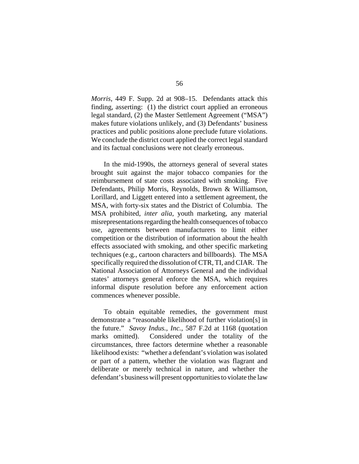*Morris*, 449 F. Supp. 2d at 908–15. Defendants attack this finding, asserting: (1) the district court applied an erroneous legal standard, (2) the Master Settlement Agreement ("MSA") makes future violations unlikely, and (3) Defendants' business practices and public positions alone preclude future violations. We conclude the district court applied the correct legal standard and its factual conclusions were not clearly erroneous.

In the mid-1990s, the attorneys general of several states brought suit against the major tobacco companies for the reimbursement of state costs associated with smoking. Five Defendants, Philip Morris, Reynolds, Brown & Williamson, Lorillard, and Liggett entered into a settlement agreement, the MSA, with forty-six states and the District of Columbia. The MSA prohibited, *inter alia*, youth marketing, any material misrepresentations regarding the health consequences of tobacco use, agreements between manufacturers to limit either competition or the distribution of information about the health effects associated with smoking, and other specific marketing techniques (e.g., cartoon characters and billboards). The MSA specifically required the dissolution of CTR, TI, and CIAR. The National Association of Attorneys General and the individual states' attorneys general enforce the MSA, which requires informal dispute resolution before any enforcement action commences whenever possible.

To obtain equitable remedies, the government must demonstrate a "reasonable likelihood of further violation[s] in the future." *Savoy Indus., Inc.*, 587 F.2d at 1168 (quotation marks omitted). Considered under the totality of the circumstances, three factors determine whether a reasonable likelihood exists: "whether a defendant's violation was isolated or part of a pattern, whether the violation was flagrant and deliberate or merely technical in nature, and whether the defendant's business will present opportunities to violate the law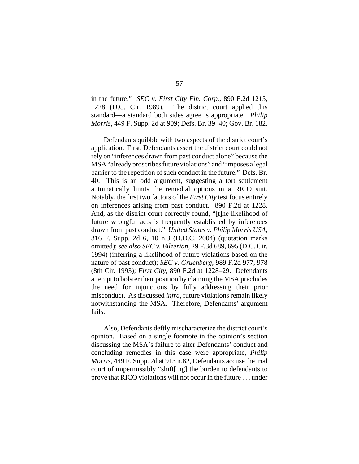in the future." *SEC v. First City Fin. Corp.*, 890 F.2d 1215, 1228 (D.C. Cir. 1989). The district court applied this standard—a standard both sides agree is appropriate. *Philip Morris*, 449 F. Supp. 2d at 909; Defs. Br. 39–40; Gov. Br. 182.

Defendants quibble with two aspects of the district court's application. First, Defendants assert the district court could not rely on "inferences drawn from past conduct alone" because the MSA "already proscribes future violations" and "imposes a legal barrier to the repetition of such conduct in the future." Defs. Br. 40. This is an odd argument, suggesting a tort settlement automatically limits the remedial options in a RICO suit. Notably, the first two factors of the *First City* test focus entirely on inferences arising from past conduct. 890 F.2d at 1228. And, as the district court correctly found, "[t]he likelihood of future wrongful acts is frequently established by inferences drawn from past conduct." *United States v. Philip Morris USA*, 316 F. Supp. 2d 6, 10 n.3 (D.D.C. 2004) (quotation marks omitted); *see also SEC v. Bilzerian*, 29 F.3d 689, 695 (D.C. Cir. 1994) (inferring a likelihood of future violations based on the nature of past conduct); *SEC v. Gruenberg*, 989 F.2d 977, 978 (8th Cir. 1993); *First City*, 890 F.2d at 1228–29. Defendants attempt to bolster their position by claiming the MSA precludes the need for injunctions by fully addressing their prior misconduct. As discussed *infra*, future violations remain likely notwithstanding the MSA. Therefore, Defendants' argument fails.

Also, Defendants deftly mischaracterize the district court's opinion. Based on a single footnote in the opinion's section discussing the MSA's failure to alter Defendants' conduct and concluding remedies in this case were appropriate, *Philip Morris*, 449 F. Supp. 2d at 913 n.82, Defendants accuse the trial court of impermissibly "shift[ing] the burden to defendants to prove that RICO violations will not occur in the future . . . under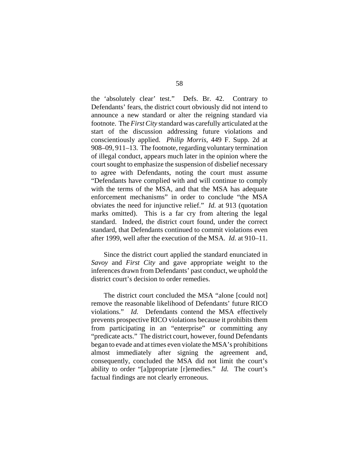the 'absolutely clear' test." Defs. Br. 42. Contrary to Defendants' fears, the district court obviously did not intend to announce a new standard or alter the reigning standard via footnote. The *First City* standard was carefully articulated at the start of the discussion addressing future violations and conscientiously applied. *Philip Morris*, 449 F. Supp. 2d at 908–09, 911–13. The footnote, regarding voluntary termination of illegal conduct, appears much later in the opinion where the court sought to emphasize the suspension of disbelief necessary to agree with Defendants, noting the court must assume "Defendants have complied with and will continue to comply with the terms of the MSA, and that the MSA has adequate enforcement mechanisms" in order to conclude "the MSA obviates the need for injunctive relief." *Id.* at 913 (quotation marks omitted). This is a far cry from altering the legal standard. Indeed, the district court found, under the correct standard, that Defendants continued to commit violations even after 1999, well after the execution of the MSA. *Id.* at 910–11.

Since the district court applied the standard enunciated in *Savoy* and *First City* and gave appropriate weight to the inferences drawn from Defendants' past conduct, we uphold the district court's decision to order remedies.

The district court concluded the MSA "alone [could not] remove the reasonable likelihood of Defendants' future RICO violations." *Id.* Defendants contend the MSA effectively prevents prospective RICO violations because it prohibits them from participating in an "enterprise" or committing any "predicate acts." The district court, however, found Defendants began to evade and at times even violate the MSA's prohibitions almost immediately after signing the agreement and, consequently, concluded the MSA did not limit the court's ability to order "[a]ppropriate [r]emedies." *Id.* The court's factual findings are not clearly erroneous.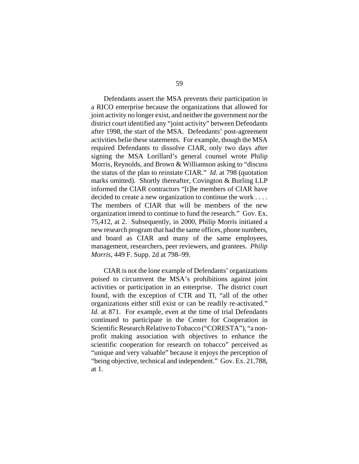Defendants assert the MSA prevents their participation in a RICO enterprise because the organizations that allowed for joint activity no longer exist, and neither the government nor the district court identified any "joint activity" between Defendants after 1998, the start of the MSA. Defendants' post-agreement activities belie these statements. For example, though the MSA required Defendants to dissolve CIAR, only two days after signing the MSA Lorillard's general counsel wrote Philip Morris, Reynolds, and Brown & Williamson asking to "discuss the status of the plan to reinstate CIAR." *Id.* at 798 (quotation marks omitted). Shortly thereafter, Covington & Burling LLP informed the CIAR contractors "[t]he members of CIAR have decided to create a new organization to continue the work . . . . The members of CIAR that will be members of the new organization intend to continue to fund the research." Gov. Ex. 75,412, at 2. Subsequently, in 2000, Philip Morris initiated a new research program that had the same offices, phone numbers, and board as CIAR and many of the same employees, management, researchers, peer reviewers, and grantees. *Philip Morris*, 449 F. Supp. 2d at 798–99.

CIAR is not the lone example of Defendants' organizations poised to circumvent the MSA's prohibitions against joint activities or participation in an enterprise. The district court found, with the exception of CTR and TI, "all of the other organizations either still exist or can be readily re-activated." *Id.* at 871. For example, even at the time of trial Defendants continued to participate in the Center for Cooperation in Scientific Research Relative to Tobacco ("CORESTA"), "a nonprofit making association with objectives to enhance the scientific cooperation for research on tobacco" perceived as "unique and very valuable" because it enjoys the perception of "being objective, technical and independent." Gov. Ex. 21,788, at 1.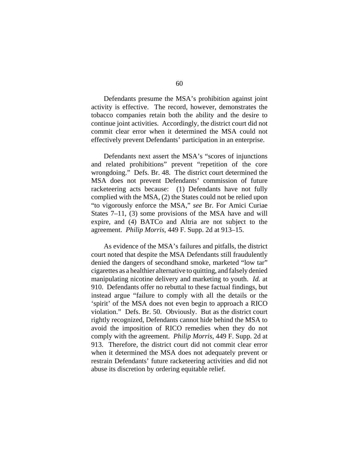Defendants presume the MSA's prohibition against joint activity is effective. The record, however, demonstrates the tobacco companies retain both the ability and the desire to continue joint activities. Accordingly, the district court did not commit clear error when it determined the MSA could not effectively prevent Defendants' participation in an enterprise.

Defendants next assert the MSA's "scores of injunctions and related prohibitions" prevent "repetition of the core wrongdoing." Defs. Br. 48. The district court determined the MSA does not prevent Defendants' commission of future racketeering acts because: (1) Defendants have not fully complied with the MSA, (2) the States could not be relied upon "to vigorously enforce the MSA," *see* Br. For Amici Curiae States 7–11, (3) some provisions of the MSA have and will expire, and (4) BATCo and Altria are not subject to the agreement. *Philip Morris*, 449 F. Supp. 2d at 913–15.

As evidence of the MSA's failures and pitfalls, the district court noted that despite the MSA Defendants still fraudulently denied the dangers of secondhand smoke, marketed "low tar" cigarettes as a healthier alternative to quitting, and falsely denied manipulating nicotine delivery and marketing to youth. *Id.* at 910. Defendants offer no rebuttal to these factual findings, but instead argue "failure to comply with all the details or the 'spirit' of the MSA does not even begin to approach a RICO violation." Defs. Br. 50. Obviously. But as the district court rightly recognized, Defendants cannot hide behind the MSA to avoid the imposition of RICO remedies when they do not comply with the agreement. *Philip Morris*, 449 F. Supp. 2d at 913. Therefore, the district court did not commit clear error when it determined the MSA does not adequately prevent or restrain Defendants' future racketeering activities and did not abuse its discretion by ordering equitable relief.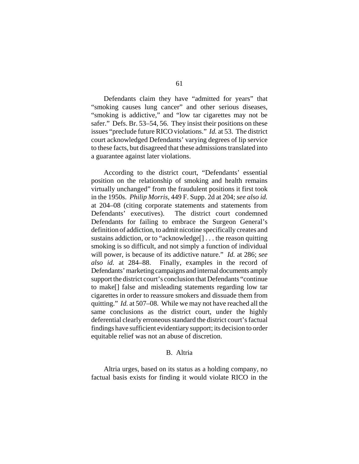Defendants claim they have "admitted for years" that "smoking causes lung cancer" and other serious diseases, "smoking is addictive," and "low tar cigarettes may not be safer." Defs. Br. 53–54, 56. They insist their positions on these issues "preclude future RICO violations." *Id.* at 53. The district court acknowledged Defendants' varying degrees of lip service to these facts, but disagreed that these admissions translated into a guarantee against later violations.

According to the district court, "Defendants' essential position on the relationship of smoking and health remains virtually unchanged" from the fraudulent positions it first took in the 1950s. *Philip Morris*, 449 F. Supp. 2d at 204; *see also id.* at 204–08 (citing corporate statements and statements from Defendants' executives). The district court condemned Defendants for failing to embrace the Surgeon General's definition of addiction, to admit nicotine specifically creates and sustains addiction, or to "acknowledge[] . . . the reason quitting smoking is so difficult, and not simply a function of individual will power, is because of its addictive nature." *Id.* at 286; *see also id.* at 284–88. Finally, examples in the record of Defendants' marketing campaigns and internal documents amply support the district court's conclusion that Defendants "continue to make[] false and misleading statements regarding low tar cigarettes in order to reassure smokers and dissuade them from quitting." *Id.* at 507–08. While we may not have reached all the same conclusions as the district court, under the highly deferential clearly erroneous standard the district court's factual findings have sufficient evidentiary support; its decision to order equitable relief was not an abuse of discretion.

# B. Altria

Altria urges, based on its status as a holding company, no factual basis exists for finding it would violate RICO in the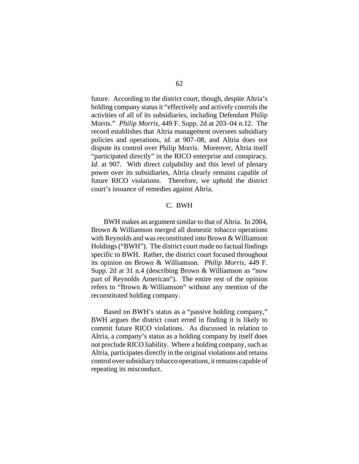future. According to the district court, though, despite Altria's holding company status it "effectively and actively controls the activities of all of its subsidiaries, including Defendant Philip Morris." *Philip Morris*, 449 F. Supp. 2d at 203–04 n.12. The record establishes that Altria management oversees subsidiary policies and operations, *id.* at 907–08, and Altria does not dispute its control over Philip Morris. Moreover, Altria itself "participated directly" in the RICO enterprise and conspiracy. *Id.* at 907. With direct culpability and this level of plenary power over its subsidiaries, Altria clearly remains capable of future RICO violations. Therefore, we uphold the district court's issuance of remedies against Altria.

# C. BWH

BWH makes an argument similar to that of Altria. In 2004, Brown & Williamson merged all domestic tobacco operations with Reynolds and was reconstituted into Brown & Williamson Holdings ("BWH"). The district court made no factual findings specific to BWH. Rather, the district court focused throughout its opinion on Brown & Williamson. *Philip Morris*, 449 F. Supp. 2d at 31 n.4 (describing Brown & Williamson as "now part of Reynolds American"). The entire rest of the opinion refers to "Brown & Williamson" without any mention of the reconstituted holding company.

Based on BWH's status as a "passive holding company," BWH argues the district court erred in finding it is likely to commit future RICO violations. As discussed in relation to Altria, a company's status as a holding company by itself does not preclude RICO liability. Where a holding company, such as Altria, participates directly in the original violations and retains control over subsidiary tobacco operations, it remains capable of repeating its misconduct.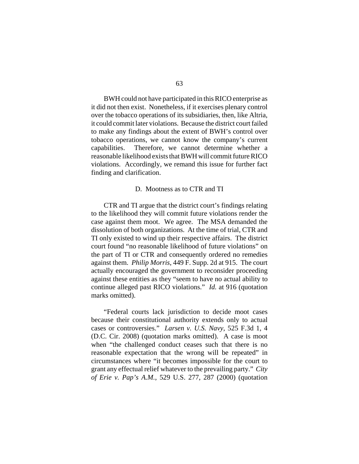BWH could not have participated in this RICO enterprise as it did not then exist. Nonetheless, if it exercises plenary control over the tobacco operations of its subsidiaries, then, like Altria, it could commit later violations. Because the district court failed to make any findings about the extent of BWH's control over tobacco operations, we cannot know the company's current capabilities. Therefore, we cannot determine whether a reasonable likelihood exists that BWH will commit future RICO violations. Accordingly, we remand this issue for further fact finding and clarification.

#### D. Mootness as to CTR and TI

CTR and TI argue that the district court's findings relating to the likelihood they will commit future violations render the case against them moot. We agree. The MSA demanded the dissolution of both organizations. At the time of trial, CTR and TI only existed to wind up their respective affairs. The district court found "no reasonable likelihood of future violations" on the part of TI or CTR and consequently ordered no remedies against them. *Philip Morris*, 449 F. Supp. 2d at 915. The court actually encouraged the government to reconsider proceeding against these entities as they "seem to have no actual ability to continue alleged past RICO violations." *Id.* at 916 (quotation marks omitted).

"Federal courts lack jurisdiction to decide moot cases because their constitutional authority extends only to actual cases or controversies." *Larsen v. U.S. Navy*, 525 F.3d 1, 4 (D.C. Cir. 2008) (quotation marks omitted). A case is moot when "the challenged conduct ceases such that there is no reasonable expectation that the wrong will be repeated" in circumstances where "it becomes impossible for the court to grant any effectual relief whatever to the prevailing party." *City of Erie v. Pap's A.M.*, 529 U.S. 277, 287 (2000) (quotation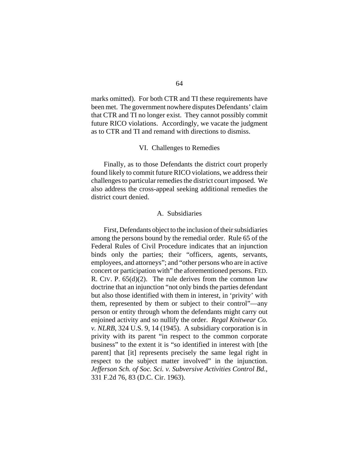marks omitted). For both CTR and TI these requirements have been met. The government nowhere disputes Defendants' claim that CTR and TI no longer exist. They cannot possibly commit future RICO violations. Accordingly, we vacate the judgment as to CTR and TI and remand with directions to dismiss.

## VI. Challenges to Remedies

Finally, as to those Defendants the district court properly found likely to commit future RICO violations, we address their challenges to particular remedies the district court imposed. We also address the cross-appeal seeking additional remedies the district court denied.

### A. Subsidiaries

First, Defendants object to the inclusion of their subsidiaries among the persons bound by the remedial order. Rule 65 of the Federal Rules of Civil Procedure indicates that an injunction binds only the parties; their "officers, agents, servants, employees, and attorneys"; and "other persons who are in active concert or participation with" the aforementioned persons. FED. R. CIV. P.  $65(d)(2)$ . The rule derives from the common law doctrine that an injunction "not only binds the parties defendant but also those identified with them in interest, in 'privity' with them, represented by them or subject to their control"—any person or entity through whom the defendants might carry out enjoined activity and so nullify the order. *Regal Knitwear Co. v. NLRB*, 324 U.S. 9, 14 (1945). A subsidiary corporation is in privity with its parent "in respect to the common corporate business" to the extent it is "so identified in interest with [the parent] that [it] represents precisely the same legal right in respect to the subject matter involved" in the injunction. *Jefferson Sch. of Soc. Sci. v. Subversive Activities Control Bd.*, 331 F.2d 76, 83 (D.C. Cir. 1963).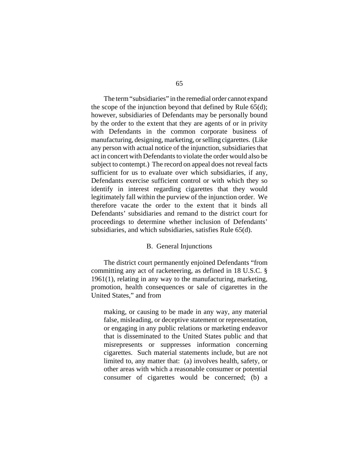The term "subsidiaries" in the remedial order cannot expand the scope of the injunction beyond that defined by Rule 65(d); however, subsidiaries of Defendants may be personally bound by the order to the extent that they are agents of or in privity with Defendants in the common corporate business of manufacturing, designing, marketing, or selling cigarettes. (Like any person with actual notice of the injunction, subsidiaries that act in concert with Defendants to violate the order would also be subject to contempt.) The record on appeal does not reveal facts sufficient for us to evaluate over which subsidiaries, if any, Defendants exercise sufficient control or with which they so identify in interest regarding cigarettes that they would legitimately fall within the purview of the injunction order. We therefore vacate the order to the extent that it binds all Defendants' subsidiaries and remand to the district court for proceedings to determine whether inclusion of Defendants' subsidiaries, and which subsidiaries, satisfies Rule 65(d).

### B. General Injunctions

The district court permanently enjoined Defendants "from committing any act of racketeering, as defined in 18 U.S.C. § 1961(1), relating in any way to the manufacturing, marketing, promotion, health consequences or sale of cigarettes in the United States," and from

making, or causing to be made in any way, any material false, misleading, or deceptive statement or representation, or engaging in any public relations or marketing endeavor that is disseminated to the United States public and that misrepresents or suppresses information concerning cigarettes. Such material statements include, but are not limited to, any matter that: (a) involves health, safety, or other areas with which a reasonable consumer or potential consumer of cigarettes would be concerned; (b) a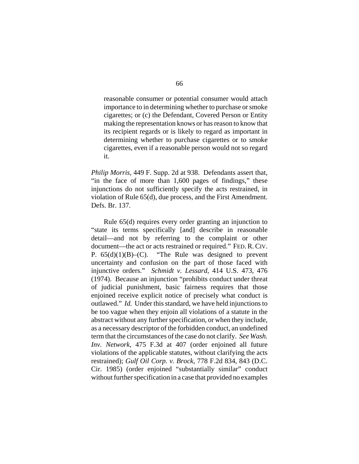reasonable consumer or potential consumer would attach importance to in determining whether to purchase or smoke cigarettes; or (c) the Defendant, Covered Person or Entity making the representation knows or has reason to know that its recipient regards or is likely to regard as important in determining whether to purchase cigarettes or to smoke cigarettes, even if a reasonable person would not so regard it.

*Philip Morris*, 449 F. Supp. 2d at 938. Defendants assert that, "in the face of more than 1,600 pages of findings," these injunctions do not sufficiently specify the acts restrained, in violation of Rule 65(d), due process, and the First Amendment. Defs. Br. 137.

Rule 65(d) requires every order granting an injunction to "state its terms specifically [and] describe in reasonable detail—and not by referring to the complaint or other document—the act or acts restrained or required." FED. R. CIV. P.  $65(d)(1)(B)$ –(C). "The Rule was designed to prevent uncertainty and confusion on the part of those faced with injunctive orders." *Schmidt v. Lessard*, 414 U.S. 473, 476 (1974). Because an injunction "prohibits conduct under threat of judicial punishment, basic fairness requires that those enjoined receive explicit notice of precisely what conduct is outlawed." *Id.* Under this standard, we have held injunctions to be too vague when they enjoin all violations of a statute in the abstract without any further specification, or when they include, as a necessary descriptor of the forbidden conduct, an undefined term that the circumstances of the case do not clarify. *See Wash. Inv. Network*, 475 F.3d at 407 (order enjoined all future violations of the applicable statutes, without clarifying the acts restrained); *Gulf Oil Corp. v. Brock*, 778 F.2d 834, 843 (D.C. Cir. 1985) (order enjoined "substantially similar" conduct without further specification in a case that provided no examples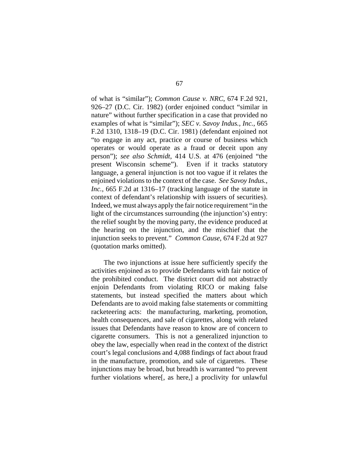of what is "similar"); *Common Cause v. NRC*, 674 F.2d 921, 926–27 (D.C. Cir. 1982) (order enjoined conduct "similar in nature" without further specification in a case that provided no examples of what is "similar"); *SEC v. Savoy Indus., Inc.*, 665 F.2d 1310, 1318–19 (D.C. Cir. 1981) (defendant enjoined not "to engage in any act, practice or course of business which operates or would operate as a fraud or deceit upon any person"); *see also Schmidt*, 414 U.S. at 476 (enjoined "the present Wisconsin scheme"). Even if it tracks statutory language, a general injunction is not too vague if it relates the enjoined violations to the context of the case. *See Savoy Indus., Inc.*, 665 F.2d at 1316–17 (tracking language of the statute in context of defendant's relationship with issuers of securities). Indeed, we must always apply the fair notice requirement "in the light of the circumstances surrounding (the injunction's) entry: the relief sought by the moving party, the evidence produced at the hearing on the injunction, and the mischief that the injunction seeks to prevent." *Common Cause*, 674 F.2d at 927 (quotation marks omitted).

The two injunctions at issue here sufficiently specify the activities enjoined as to provide Defendants with fair notice of the prohibited conduct. The district court did not abstractly enjoin Defendants from violating RICO or making false statements, but instead specified the matters about which Defendants are to avoid making false statements or committing racketeering acts: the manufacturing, marketing, promotion, health consequences, and sale of cigarettes, along with related issues that Defendants have reason to know are of concern to cigarette consumers. This is not a generalized injunction to obey the law, especially when read in the context of the district court's legal conclusions and 4,088 findings of fact about fraud in the manufacture, promotion, and sale of cigarettes. These injunctions may be broad, but breadth is warranted "to prevent further violations where[, as here,] a proclivity for unlawful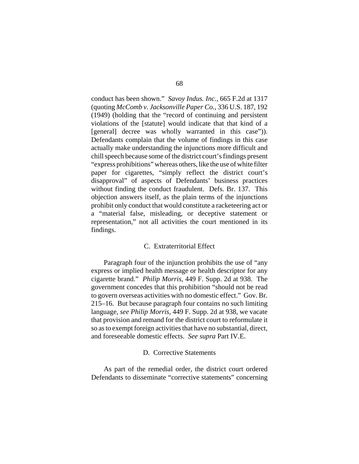conduct has been shown." *Savoy Indus. Inc.*, 665 F.2d at 1317 (quoting *McComb v. Jacksonville Paper Co.*, 336 U.S. 187, 192 (1949) (holding that the "record of continuing and persistent violations of the [statute] would indicate that that kind of a [general] decree was wholly warranted in this case")). Defendants complain that the volume of findings in this case actually make understanding the injunctions more difficult and chill speech because some of the district court's findings present "express prohibitions" whereas others, like the use of white filter paper for cigarettes, "simply reflect the district court's disapproval" of aspects of Defendants' business practices without finding the conduct fraudulent. Defs. Br. 137. This objection answers itself, as the plain terms of the injunctions prohibit only conduct that would constitute a racketeering act or a "material false, misleading, or deceptive statement or representation," not all activities the court mentioned in its findings.

### C. Extraterritorial Effect

Paragraph four of the injunction prohibits the use of "any express or implied health message or health descriptor for any cigarette brand." *Philip Morris*, 449 F. Supp. 2d at 938. The government concedes that this prohibition "should not be read to govern overseas activities with no domestic effect." Gov. Br. 215–16. But because paragraph four contains no such limiting language, *see Philip Morris*, 449 F. Supp. 2d at 938, we vacate that provision and remand for the district court to reformulate it so as to exempt foreign activities that have no substantial, direct, and foreseeable domestic effects. *See supra* Part IV.E.

### D. Corrective Statements

As part of the remedial order, the district court ordered Defendants to disseminate "corrective statements" concerning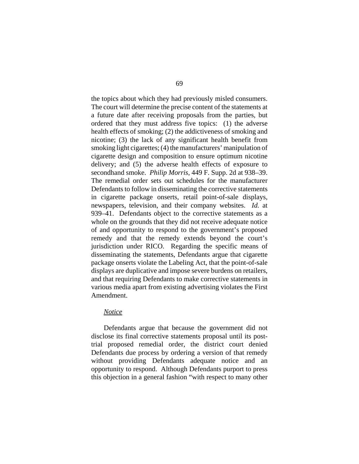the topics about which they had previously misled consumers. The court will determine the precise content of the statements at a future date after receiving proposals from the parties, but ordered that they must address five topics: (1) the adverse health effects of smoking; (2) the addictiveness of smoking and nicotine; (3) the lack of any significant health benefit from smoking light cigarettes; (4) the manufacturers' manipulation of cigarette design and composition to ensure optimum nicotine delivery; and (5) the adverse health effects of exposure to secondhand smoke. *Philip Morris*, 449 F. Supp. 2d at 938–39. The remedial order sets out schedules for the manufacturer Defendants to follow in disseminating the corrective statements in cigarette package onserts, retail point-of-sale displays, newspapers, television, and their company websites. *Id.* at 939–41. Defendants object to the corrective statements as a whole on the grounds that they did not receive adequate notice of and opportunity to respond to the government's proposed remedy and that the remedy extends beyond the court's jurisdiction under RICO. Regarding the specific means of disseminating the statements, Defendants argue that cigarette package onserts violate the Labeling Act, that the point-of-sale displays are duplicative and impose severe burdens on retailers, and that requiring Defendants to make corrective statements in various media apart from existing advertising violates the First Amendment.

# *Notice*

Defendants argue that because the government did not disclose its final corrective statements proposal until its posttrial proposed remedial order, the district court denied Defendants due process by ordering a version of that remedy without providing Defendants adequate notice and an opportunity to respond. Although Defendants purport to press this objection in a general fashion "with respect to many other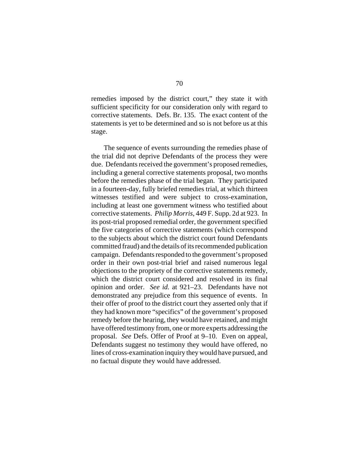remedies imposed by the district court," they state it with sufficient specificity for our consideration only with regard to corrective statements. Defs. Br. 135. The exact content of the statements is yet to be determined and so is not before us at this stage.

The sequence of events surrounding the remedies phase of the trial did not deprive Defendants of the process they were due. Defendants received the government's proposed remedies, including a general corrective statements proposal, two months before the remedies phase of the trial began. They participated in a fourteen-day, fully briefed remedies trial, at which thirteen witnesses testified and were subject to cross-examination, including at least one government witness who testified about corrective statements. *Philip Morris*, 449 F. Supp. 2d at 923. In its post-trial proposed remedial order, the government specified the five categories of corrective statements (which correspond to the subjects about which the district court found Defendants committed fraud) and the details of its recommended publication campaign. Defendants responded to the government's proposed order in their own post-trial brief and raised numerous legal objections to the propriety of the corrective statements remedy, which the district court considered and resolved in its final opinion and order. *See id.* at 921–23. Defendants have not demonstrated any prejudice from this sequence of events. In their offer of proof to the district court they asserted only that if they had known more "specifics" of the government's proposed remedy before the hearing, they would have retained, and might have offered testimony from, one or more experts addressing the proposal. *See* Defs. Offer of Proof at 9–10. Even on appeal, Defendants suggest no testimony they would have offered, no lines of cross-examination inquiry they would have pursued, and no factual dispute they would have addressed.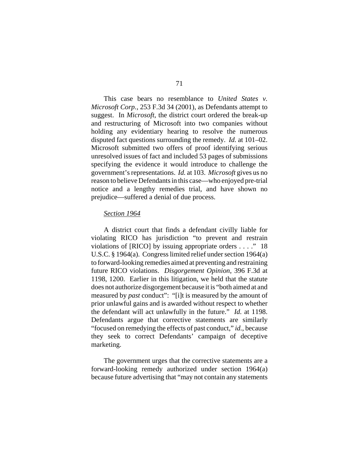This case bears no resemblance to *United States v. Microsoft Corp.*, 253 F.3d 34 (2001), as Defendants attempt to suggest. In *Microsoft*, the district court ordered the break-up and restructuring of Microsoft into two companies without holding any evidentiary hearing to resolve the numerous disputed fact questions surrounding the remedy. *Id.* at 101–02. Microsoft submitted two offers of proof identifying serious unresolved issues of fact and included 53 pages of submissions specifying the evidence it would introduce to challenge the government's representations. *Id.* at 103. *Microsoft* gives us no reason to believe Defendants in this case—who enjoyed pre-trial notice and a lengthy remedies trial, and have shown no prejudice—suffered a denial of due process.

#### *Section 1964*

A district court that finds a defendant civilly liable for violating RICO has jurisdiction "to prevent and restrain violations of [RICO] by issuing appropriate orders . . . ." 18 U.S.C. § 1964(a). Congress limited relief under section 1964(a) to forward-looking remedies aimed at preventing and restraining future RICO violations. *Disgorgement Opinion*, 396 F.3d at 1198, 1200. Earlier in this litigation, we held that the statute does not authorize disgorgement because it is "both aimed at and measured by *past* conduct": "[i]t is measured by the amount of prior unlawful gains and is awarded without respect to whether the defendant will act unlawfully in the future." *Id.* at 1198. Defendants argue that corrective statements are similarly "focused on remedying the effects of past conduct," *id.*, because they seek to correct Defendants' campaign of deceptive marketing.

The government urges that the corrective statements are a forward-looking remedy authorized under section 1964(a) because future advertising that "may not contain any statements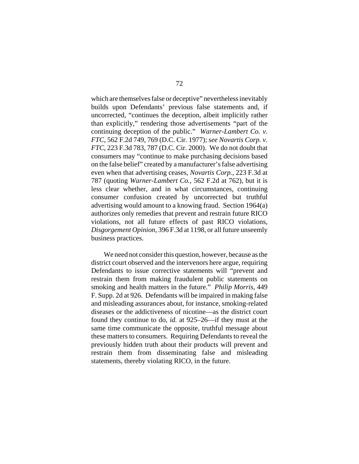which are themselves false or deceptive" nevertheless inevitably builds upon Defendants' previous false statements and, if uncorrected, "continues the deception, albeit implicitly rather than explicitly," rendering those advertisements "part of the continuing deception of the public." *Warner-Lambert Co. v. FTC*, 562 F.2d 749, 769 (D.C. Cir. 1977); *see Novartis Corp. v. FTC*, 223 F.3d 783, 787 (D.C. Cir. 2000). We do not doubt that consumers may "continue to make purchasing decisions based on the false belief" created by a manufacturer's false advertising even when that advertising ceases, *Novartis Corp.*, 223 F.3d at 787 (quoting *Warner-Lambert Co.*, 562 F.2d at 762), but it is less clear whether, and in what circumstances, continuing consumer confusion created by uncorrected but truthful advertising would amount to a knowing fraud. Section 1964(a) authorizes only remedies that prevent and restrain future RICO violations, not all future effects of past RICO violations, *Disgorgement Opinion*, 396 F.3d at 1198, or all future unseemly business practices.

We need not consider this question, however, because as the district court observed and the intervenors here argue, requiring Defendants to issue corrective statements will "prevent and restrain them from making fraudulent public statements on smoking and health matters in the future." *Philip Morris*, 449 F. Supp. 2d at 926. Defendants will be impaired in making false and misleading assurances about, for instance, smoking-related diseases or the addictiveness of nicotine—as the district court found they continue to do, *id.* at 925–26—if they must at the same time communicate the opposite, truthful message about these matters to consumers. Requiring Defendants to reveal the previously hidden truth about their products will prevent and restrain them from disseminating false and misleading statements, thereby violating RICO, in the future.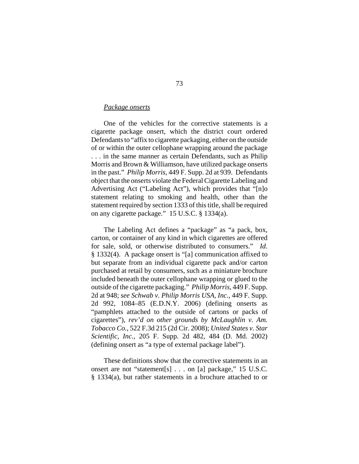# *Package onserts*

One of the vehicles for the corrective statements is a cigarette package onsert, which the district court ordered Defendants to "affix to cigarette packaging, either on the outside of or within the outer cellophane wrapping around the package . . . in the same manner as certain Defendants, such as Philip Morris and Brown & Williamson, have utilized package onserts in the past." *Philip Morris*, 449 F. Supp. 2d at 939. Defendants object that the onserts violate the Federal Cigarette Labeling and Advertising Act ("Labeling Act"), which provides that "[n]o statement relating to smoking and health, other than the statement required by section 1333 of this title, shall be required on any cigarette package." 15 U.S.C. § 1334(a).

The Labeling Act defines a "package" as "a pack, box, carton, or container of any kind in which cigarettes are offered for sale, sold, or otherwise distributed to consumers." *Id.* § 1332(4). A package onsert is "[a] communication affixed to but separate from an individual cigarette pack and/or carton purchased at retail by consumers, such as a miniature brochure included beneath the outer cellophane wrapping or glued to the outside of the cigarette packaging." *Philip Morris*, 449 F. Supp. 2d at 948; *see Schwab v. Philip Morris USA, Inc.*, 449 F. Supp. 2d 992, 1084–85 (E.D.N.Y. 2006) (defining onserts as "pamphlets attached to the outside of cartons or packs of cigarettes"), *rev'd on other grounds by McLaughlin v. Am. Tobacco Co.*, 522 F.3d 215 (2d Cir. 2008); *United States v. Star Scientific, Inc.*, 205 F. Supp. 2d 482, 484 (D. Md. 2002) (defining onsert as "a type of external package label").

These definitions show that the corrective statements in an onsert are not "statement[s] . . . on [a] package," 15 U.S.C. § 1334(a), but rather statements in a brochure attached to or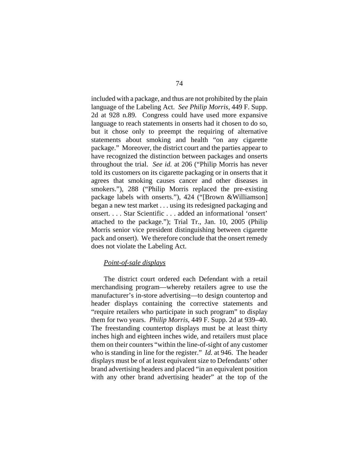included with a package, and thus are not prohibited by the plain language of the Labeling Act. *See Philip Morris*, 449 F. Supp. 2d at 928 n.89. Congress could have used more expansive language to reach statements in onserts had it chosen to do so, but it chose only to preempt the requiring of alternative statements about smoking and health "on any cigarette package." Moreover, the district court and the parties appear to have recognized the distinction between packages and onserts throughout the trial. *See id.* at 206 ("Philip Morris has never told its customers on its cigarette packaging or in onserts that it agrees that smoking causes cancer and other diseases in smokers."), 288 ("Philip Morris replaced the pre-existing package labels with onserts."), 424 ("[Brown &Williamson] began a new test market . . . using its redesigned packaging and onsert. . . . Star Scientific . . . added an informational 'onsert' attached to the package."); Trial Tr., Jan. 10, 2005 (Philip Morris senior vice president distinguishing between cigarette pack and onsert). We therefore conclude that the onsert remedy does not violate the Labeling Act.

# *Point-of-sale displays*

The district court ordered each Defendant with a retail merchandising program—whereby retailers agree to use the manufacturer's in-store advertising—to design countertop and header displays containing the corrective statements and "require retailers who participate in such program" to display them for two years. *Philip Morris*, 449 F. Supp. 2d at 939–40. The freestanding countertop displays must be at least thirty inches high and eighteen inches wide, and retailers must place them on their counters "within the line-of-sight of any customer who is standing in line for the register." *Id.* at 946. The header displays must be of at least equivalent size to Defendants' other brand advertising headers and placed "in an equivalent position with any other brand advertising header" at the top of the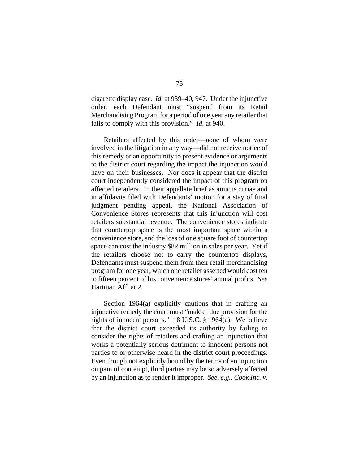cigarette display case. *Id.* at 939–40, 947. Under the injunctive order, each Defendant must "suspend from its Retail Merchandising Program for a period of one year any retailer that fails to comply with this provision." *Id.* at 940.

Retailers affected by this order—none of whom were involved in the litigation in any way—did not receive notice of this remedy or an opportunity to present evidence or arguments to the district court regarding the impact the injunction would have on their businesses. Nor does it appear that the district court independently considered the impact of this program on affected retailers. In their appellate brief as amicus curiae and in affidavits filed with Defendants' motion for a stay of final judgment pending appeal, the National Association of Convenience Stores represents that this injunction will cost retailers substantial revenue. The convenience stores indicate that countertop space is the most important space within a convenience store, and the loss of one square foot of countertop space can cost the industry \$82 million in sales per year. Yet if the retailers choose not to carry the countertop displays, Defendants must suspend them from their retail merchandising program for one year, which one retailer asserted would cost ten to fifteen percent of his convenience stores' annual profits. *See* Hartman Aff. at 2.

Section 1964(a) explicitly cautions that in crafting an injunctive remedy the court must "mak[e] due provision for the rights of innocent persons." 18 U.S.C. § 1964(a). We believe that the district court exceeded its authority by failing to consider the rights of retailers and crafting an injunction that works a potentially serious detriment to innocent persons not parties to or otherwise heard in the district court proceedings. Even though not explicitly bound by the terms of an injunction on pain of contempt, third parties may be so adversely affected by an injunction as to render it improper. *See, e.g.*, *Cook Inc. v.*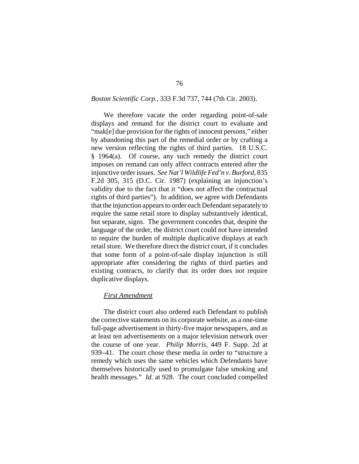# *Boston Scientific Corp.*, 333 F.3d 737, 744 (7th Cir. 2003).

We therefore vacate the order regarding point-of-sale displays and remand for the district court to evaluate and "mak[e] due provision for the rights of innocent persons," either by abandoning this part of the remedial order or by crafting a new version reflecting the rights of third parties. 18 U.S.C. § 1964(a). Of course, any such remedy the district court imposes on remand can only affect contracts entered after the injunctive order issues. *See Nat'l Wildlife Fed'n v. Burford*, 835 F.2d 305, 315 (D.C. Cir. 1987) (explaining an injunction's validity due to the fact that it "does not affect the contractual rights of third parties"). In addition, we agree with Defendants that the injunction appears to order each Defendant separately to require the same retail store to display substantively identical, but separate, signs. The government concedes that, despite the language of the order, the district court could not have intended to require the burden of multiple duplicative displays at each retail store. We therefore direct the district court, if it concludes that some form of a point-of-sale display injunction is still appropriate after considering the rights of third parties and existing contracts, to clarify that its order does not require duplicative displays.

#### *First Amendment*

The district court also ordered each Defendant to publish the corrective statements on its corporate website, as a one-time full-page advertisement in thirty-five major newspapers, and as at least ten advertisements on a major television network over the course of one year. *Philip Morris*, 449 F. Supp. 2d at 939–41. The court chose these media in order to "structure a remedy which uses the same vehicles which Defendants have themselves historically used to promulgate false smoking and health messages." *Id.* at 928. The court concluded compelled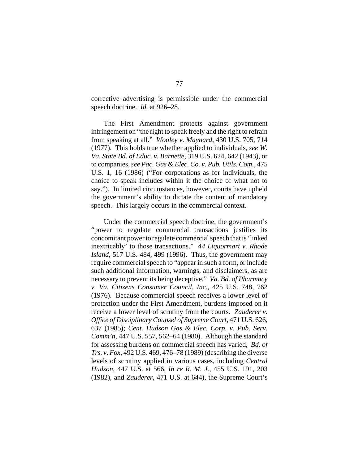corrective advertising is permissible under the commercial speech doctrine. *Id.* at 926–28.

The First Amendment protects against government infringement on "the right to speak freely and the right to refrain from speaking at all." *Wooley v. Maynard*, 430 U.S. 705, 714 (1977). This holds true whether applied to individuals, *see W. Va. State Bd. of Educ. v. Barnette*, 319 U.S. 624, 642 (1943), or to companies, *see Pac. Gas & Elec. Co. v. Pub. Utils. Com.*, 475 U.S. 1, 16 (1986) ("For corporations as for individuals, the choice to speak includes within it the choice of what not to say."). In limited circumstances, however, courts have upheld the government's ability to dictate the content of mandatory speech. This largely occurs in the commercial context.

Under the commercial speech doctrine, the government's "power to regulate commercial transactions justifies its concomitant power to regulate commercial speech that is 'linked inextricably' to those transactions." *44 Liquormart v. Rhode Island*, 517 U.S. 484, 499 (1996). Thus, the government may require commercial speech to "appear in such a form, or include such additional information, warnings, and disclaimers, as are necessary to prevent its being deceptive." *Va. Bd. of Pharmacy v. Va. Citizens Consumer Council, Inc.*, 425 U.S. 748, 762 (1976). Because commercial speech receives a lower level of protection under the First Amendment, burdens imposed on it receive a lower level of scrutiny from the courts. *Zauderer v. Office of Disciplinary Counsel of Supreme Court*, 471 U.S. 626, 637 (1985); *Cent. Hudson Gas & Elec. Corp. v. Pub. Serv. Comm'n*, 447 U.S. 557, 562–64 (1980). Although the standard for assessing burdens on commercial speech has varied, *Bd. of Trs. v. Fox*, 492 U.S. 469, 476–78 (1989) (describing the diverse levels of scrutiny applied in various cases, including *Central Hudson*, 447 U.S. at 566, *In re R. M. J.*, 455 U.S. 191, 203 (1982), and *Zauderer*, 471 U.S. at 644), the Supreme Court's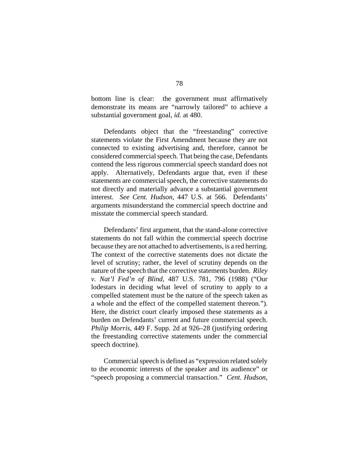bottom line is clear: the government must affirmatively demonstrate its means are "narrowly tailored" to achieve a substantial government goal, *id.* at 480.

Defendants object that the "freestanding" corrective statements violate the First Amendment because they are not connected to existing advertising and, therefore, cannot be considered commercial speech. That being the case, Defendants contend the less rigorous commercial speech standard does not apply. Alternatively, Defendants argue that, even if these statements are commercial speech, the corrective statements do not directly and materially advance a substantial government interest. *See Cent. Hudson*, 447 U.S. at 566. Defendants' arguments misunderstand the commercial speech doctrine and misstate the commercial speech standard.

Defendants' first argument, that the stand-alone corrective statements do not fall within the commercial speech doctrine because they are not attached to advertisements, is a red herring. The context of the corrective statements does not dictate the level of scrutiny; rather, the level of scrutiny depends on the nature of the speech that the corrective statements burden. *Riley v. Nat'l Fed'n of Blind*, 487 U.S. 781, 796 (1988) ("Our lodestars in deciding what level of scrutiny to apply to a compelled statement must be the nature of the speech taken as a whole and the effect of the compelled statement thereon."). Here, the district court clearly imposed these statements as a burden on Defendants' current and future commercial speech. *Philip Morris*, 449 F. Supp. 2d at 926–28 (justifying ordering the freestanding corrective statements under the commercial speech doctrine).

Commercial speech is defined as "expression related solely to the economic interests of the speaker and its audience" or "speech proposing a commercial transaction." *Cent. Hudson*,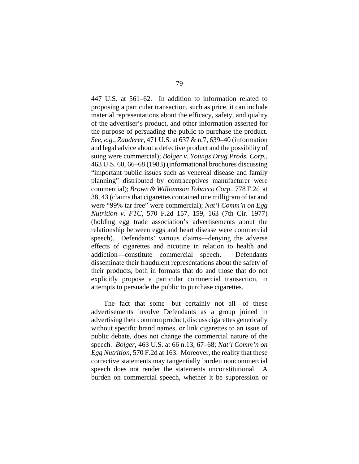447 U.S. at 561–62. In addition to information related to proposing a particular transaction, such as price, it can include material representations about the efficacy, safety, and quality of the advertiser's product, and other information asserted for the purpose of persuading the public to purchase the product. *See, e.g.*, *Zauderer*, 471 U.S. at 637 & n.7, 639–40 (information and legal advice about a defective product and the possibility of suing were commercial); *Bolger v. Youngs Drug Prods. Corp.*, 463 U.S. 60, 66–68 (1983) (informational brochures discussing "important public issues such as venereal disease and family planning" distributed by contraceptives manufacturer were commercial); *Brown & Williamson Tobacco Corp.*, 778 F.2d at 38, 43 (claims that cigarettes contained one milligram of tar and were "99% tar free" were commercial); *Nat'l Comm'n on Egg Nutrition v. FTC*, 570 F.2d 157, 159, 163 (7th Cir. 1977) (holding egg trade association's advertisements about the relationship between eggs and heart disease were commercial speech). Defendants' various claims—denying the adverse effects of cigarettes and nicotine in relation to health and addiction—constitute commercial speech. Defendants disseminate their fraudulent representations about the safety of their products, both in formats that do and those that do not explicitly propose a particular commercial transaction, in attempts to persuade the public to purchase cigarettes.

The fact that some—but certainly not all—of these advertisements involve Defendants as a group joined in advertising their common product, discuss cigarettes generically without specific brand names, or link cigarettes to an issue of public debate, does not change the commercial nature of the speech. *Bolger*, 463 U.S. at 66 n.13, 67–68; *Nat'l Comm'n on Egg Nutrition*, 570 F.2d at 163. Moreover, the reality that these corrective statements may tangentially burden noncommercial speech does not render the statements unconstitutional. A burden on commercial speech, whether it be suppression or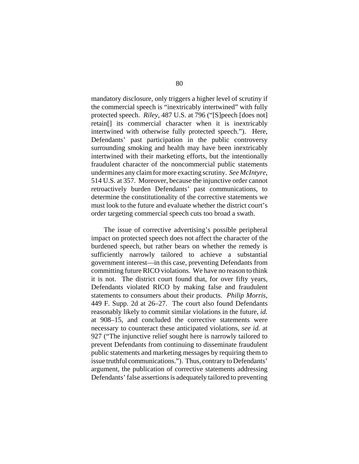mandatory disclosure, only triggers a higher level of scrutiny if the commercial speech is "inextricably intertwined" with fully protected speech. *Riley*, 487 U.S. at 796 ("[S]peech [does not] retain[] its commercial character when it is inextricably intertwined with otherwise fully protected speech."). Here, Defendants' past participation in the public controversy surrounding smoking and health may have been inextricably intertwined with their marketing efforts, but the intentionally fraudulent character of the noncommercial public statements undermines any claim for more exacting scrutiny. *See McIntyre*, 514 U.S. at 357. Moreover, because the injunctive order cannot retroactively burden Defendants' past communications, to determine the constitutionality of the corrective statements we must look to the future and evaluate whether the district court's order targeting commercial speech cuts too broad a swath.

The issue of corrective advertising's possible peripheral impact on protected speech does not affect the character of the burdened speech, but rather bears on whether the remedy is sufficiently narrowly tailored to achieve a substantial government interest—in this case, preventing Defendants from committing future RICO violations. We have no reason to think it is not. The district court found that, for over fifty years, Defendants violated RICO by making false and fraudulent statements to consumers about their products. *Philip Morris*, 449 F. Supp. 2d at 26–27. The court also found Defendants reasonably likely to commit similar violations in the future, *id.* at 908–15, and concluded the corrective statements were necessary to counteract these anticipated violations, *see id.* at 927 ("The injunctive relief sought here is narrowly tailored to prevent Defendants from continuing to disseminate fraudulent public statements and marketing messages by requiring them to issue truthful communications."). Thus, contrary to Defendants' argument, the publication of corrective statements addressing Defendants' false assertions is adequately tailored to preventing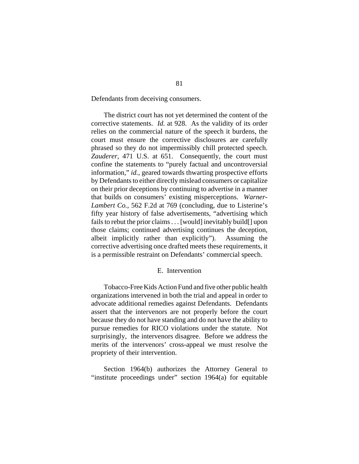Defendants from deceiving consumers.

The district court has not yet determined the content of the corrective statements. *Id.* at 928. As the validity of its order relies on the commercial nature of the speech it burdens, the court must ensure the corrective disclosures are carefully phrased so they do not impermissibly chill protected speech. *Zauderer*, 471 U.S. at 651. Consequently, the court must confine the statements to "purely factual and uncontroversial information," *id.*, geared towards thwarting prospective efforts by Defendants to either directly mislead consumers or capitalize on their prior deceptions by continuing to advertise in a manner that builds on consumers' existing misperceptions. *Warner-Lambert Co.*, 562 F.2d at 769 (concluding, due to Listerine's fifty year history of false advertisements, "advertising which fails to rebut the prior claims . . . [would] inevitably build[] upon those claims; continued advertising continues the deception, albeit implicitly rather than explicitly"). Assuming the corrective advertising once drafted meets these requirements, it is a permissible restraint on Defendants' commercial speech.

# E. Intervention

Tobacco-Free Kids Action Fund and five other public health organizations intervened in both the trial and appeal in order to advocate additional remedies against Defendants. Defendants assert that the intervenors are not properly before the court because they do not have standing and do not have the ability to pursue remedies for RICO violations under the statute. Not surprisingly, the intervenors disagree. Before we address the merits of the intervenors' cross-appeal we must resolve the propriety of their intervention.

Section 1964(b) authorizes the Attorney General to "institute proceedings under" section 1964(a) for equitable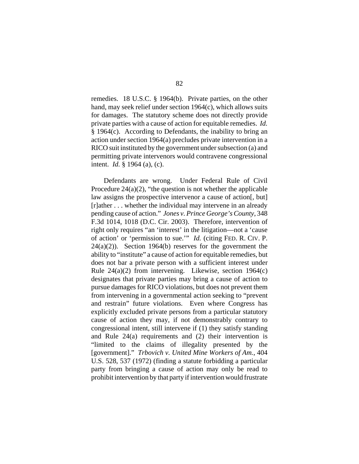remedies. 18 U.S.C. § 1964(b). Private parties, on the other hand, may seek relief under section 1964(c), which allows suits for damages. The statutory scheme does not directly provide private parties with a cause of action for equitable remedies. *Id.* § 1964(c). According to Defendants, the inability to bring an action under section 1964(a) precludes private intervention in a RICO suit instituted by the government under subsection (a) and permitting private intervenors would contravene congressional intent. *Id.* § 1964 (a), (c).

Defendants are wrong. Under Federal Rule of Civil Procedure  $24(a)(2)$ , "the question is not whether the applicable law assigns the prospective intervenor a cause of action[, but] [r]ather . . . whether the individual may intervene in an already pending cause of action." *Jones v. Prince George's County*, 348 F.3d 1014, 1018 (D.C. Cir. 2003). Therefore, intervention of right only requires "an 'interest' in the litigation—not a 'cause of action' or 'permission to sue.'" *Id.* (citing FED. R. CIV. P.  $24(a)(2)$ ). Section 1964(b) reserves for the government the ability to "institute" a cause of action for equitable remedies, but does not bar a private person with a sufficient interest under Rule 24(a)(2) from intervening. Likewise, section 1964(c) designates that private parties may bring a cause of action to pursue damages for RICO violations, but does not prevent them from intervening in a governmental action seeking to "prevent and restrain" future violations. Even where Congress has explicitly excluded private persons from a particular statutory cause of action they may, if not demonstrably contrary to congressional intent, still intervene if (1) they satisfy standing and Rule 24(a) requirements and (2) their intervention is "limited to the claims of illegality presented by the [government]." *Trbovich v. United Mine Workers of Am.*, 404 U.S. 528, 537 (1972) (finding a statute forbidding a particular party from bringing a cause of action may only be read to prohibit intervention by that party if intervention would frustrate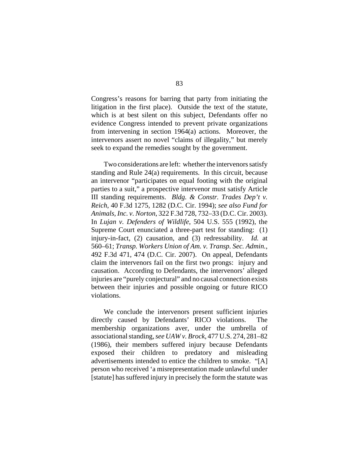Congress's reasons for barring that party from initiating the litigation in the first place). Outside the text of the statute, which is at best silent on this subject, Defendants offer no evidence Congress intended to prevent private organizations from intervening in section 1964(a) actions. Moreover, the intervenors assert no novel "claims of illegality," but merely seek to expand the remedies sought by the government.

Two considerations are left: whether the intervenors satisfy standing and Rule 24(a) requirements. In this circuit, because an intervenor "participates on equal footing with the original parties to a suit," a prospective intervenor must satisfy Article III standing requirements. *Bldg. & Constr. Trades Dep't v. Reich*, 40 F.3d 1275, 1282 (D.C. Cir. 1994); *see also Fund for Animals, Inc. v. Norton*, 322 F.3d 728, 732–33 (D.C. Cir. 2003). In *Lujan v. Defenders of Wildlife*, 504 U.S. 555 (1992), the Supreme Court enunciated a three-part test for standing: (1) injury-in-fact, (2) causation, and (3) redressability. *Id.* at 560–61; *Transp. Workers Union of Am. v. Transp. Sec. Admin.*, 492 F.3d 471, 474 (D.C. Cir. 2007). On appeal, Defendants claim the intervenors fail on the first two prongs: injury and causation. According to Defendants, the intervenors' alleged injuries are "purely conjectural" and no causal connection exists between their injuries and possible ongoing or future RICO violations.

We conclude the intervenors present sufficient injuries directly caused by Defendants' RICO violations. The membership organizations aver, under the umbrella of associational standing, *see UAW v. Brock*, 477 U.S. 274, 281–82 (1986), their members suffered injury because Defendants exposed their children to predatory and misleading advertisements intended to entice the children to smoke. "[A] person who received 'a misrepresentation made unlawful under [statute] has suffered injury in precisely the form the statute was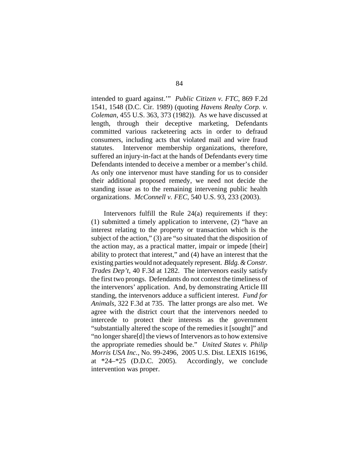intended to guard against.'" *Public Citizen v. FTC*, 869 F.2d 1541, 1548 (D.C. Cir. 1989) (quoting *Havens Realty Corp. v. Coleman*, 455 U.S. 363, 373 (1982)). As we have discussed at length, through their deceptive marketing, Defendants committed various racketeering acts in order to defraud consumers, including acts that violated mail and wire fraud statutes. Intervenor membership organizations, therefore, suffered an injury-in-fact at the hands of Defendants every time Defendants intended to deceive a member or a member's child. As only one intervenor must have standing for us to consider their additional proposed remedy, we need not decide the standing issue as to the remaining intervening public health organizations. *McConnell v. FEC*, 540 U.S. 93, 233 (2003).

Intervenors fulfill the Rule 24(a) requirements if they: (1) submitted a timely application to intervene, (2) "have an interest relating to the property or transaction which is the subject of the action," (3) are "so situated that the disposition of the action may, as a practical matter, impair or impede [their] ability to protect that interest," and (4) have an interest that the existing parties would not adequately represent. *Bldg. & Constr. Trades Dep't*, 40 F.3d at 1282. The intervenors easily satisfy the first two prongs. Defendants do not contest the timeliness of the intervenors' application. And, by demonstrating Article III standing, the intervenors adduce a sufficient interest. *Fund for Animals*, 322 F.3d at 735. The latter prongs are also met. We agree with the district court that the intervenors needed to intercede to protect their interests as the government "substantially altered the scope of the remedies it [sought]" and "no longer share[d] the views of Intervenors as to how extensive the appropriate remedies should be." *United States v. Philip Morris USA Inc.*, No. 99-2496, 2005 U.S. Dist. LEXIS 16196, at \*24–\*25 (D.D.C. 2005). Accordingly, we conclude intervention was proper.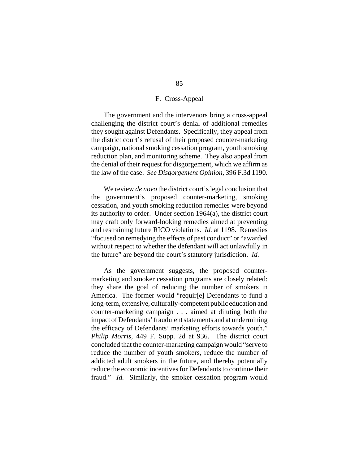# F. Cross-Appeal

The government and the intervenors bring a cross-appeal challenging the district court's denial of additional remedies they sought against Defendants. Specifically, they appeal from the district court's refusal of their proposed counter-marketing campaign, national smoking cessation program, youth smoking reduction plan, and monitoring scheme. They also appeal from the denial of their request for disgorgement, which we affirm as the law of the case. *See Disgorgement Opinion*, 396 F.3d 1190.

We review *de novo* the district court's legal conclusion that the government's proposed counter-marketing, smoking cessation, and youth smoking reduction remedies were beyond its authority to order. Under section 1964(a), the district court may craft only forward-looking remedies aimed at preventing and restraining future RICO violations. *Id.* at 1198. Remedies "focused on remedying the effects of past conduct" or "awarded without respect to whether the defendant will act unlawfully in the future" are beyond the court's statutory jurisdiction. *Id.*

As the government suggests, the proposed countermarketing and smoker cessation programs are closely related: they share the goal of reducing the number of smokers in America. The former would "requir[e] Defendants to fund a long-term, extensive, culturally-competent public education and counter-marketing campaign . . . aimed at diluting both the impact of Defendants' fraudulent statements and at undermining the efficacy of Defendants' marketing efforts towards youth." *Philip Morris*, 449 F. Supp. 2d at 936. The district court concluded that the counter-marketing campaign would "serve to reduce the number of youth smokers, reduce the number of addicted adult smokers in the future, and thereby potentially reduce the economic incentives for Defendants to continue their fraud." *Id.* Similarly, the smoker cessation program would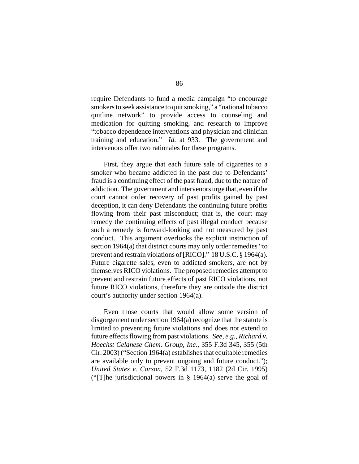require Defendants to fund a media campaign "to encourage smokers to seek assistance to quit smoking," a "national tobacco quitline network" to provide access to counseling and medication for quitting smoking, and research to improve "tobacco dependence interventions and physician and clinician training and education." *Id.* at 933. The government and intervenors offer two rationales for these programs.

First, they argue that each future sale of cigarettes to a smoker who became addicted in the past due to Defendants' fraud is a continuing effect of the past fraud, due to the nature of addiction. The government and intervenors urge that, even if the court cannot order recovery of past profits gained by past deception, it can deny Defendants the continuing future profits flowing from their past misconduct; that is, the court may remedy the continuing effects of past illegal conduct because such a remedy is forward-looking and not measured by past conduct. This argument overlooks the explicit instruction of section 1964(a) that district courts may only order remedies "to prevent and restrain violations of [RICO]." 18 U.S.C. § 1964(a). Future cigarette sales, even to addicted smokers, are not by themselves RICO violations. The proposed remedies attempt to prevent and restrain future effects of past RICO violations, not future RICO violations, therefore they are outside the district court's authority under section 1964(a).

Even those courts that would allow some version of disgorgement under section 1964(a) recognize that the statute is limited to preventing future violations and does not extend to future effects flowing from past violations. *See, e.g.*, *Richard v. Hoechst Celanese Chem. Group, Inc.*, 355 F.3d 345, 355 (5th Cir. 2003) ("Section 1964(a) establishes that equitable remedies are available only to prevent ongoing and future conduct."); *United States v. Carson*, 52 F.3d 1173, 1182 (2d Cir. 1995) ("[T]he jurisdictional powers in § 1964(a) serve the goal of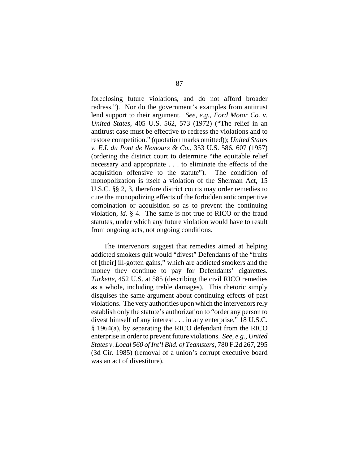foreclosing future violations, and do not afford broader redress."). Nor do the government's examples from antitrust lend support to their argument. *See, e.g.*, *Ford Motor Co. v. United States*, 405 U.S. 562, 573 (1972) ("The relief in an antitrust case must be effective to redress the violations and to restore competition." (quotation marks omitted)); *United States v. E.I. du Pont de Nemours & Co.*, 353 U.S. 586, 607 (1957) (ordering the district court to determine "the equitable relief necessary and appropriate . . . to eliminate the effects of the acquisition offensive to the statute"). The condition of monopolization is itself a violation of the Sherman Act, 15 U.S.C. §§ 2, 3, therefore district courts may order remedies to cure the monopolizing effects of the forbidden anticompetitive combination or acquisition so as to prevent the continuing violation, *id.* § 4. The same is not true of RICO or the fraud statutes, under which any future violation would have to result from ongoing acts, not ongoing conditions.

The intervenors suggest that remedies aimed at helping addicted smokers quit would "divest" Defendants of the "fruits of [their] ill-gotten gains," which are addicted smokers and the money they continue to pay for Defendants' cigarettes. *Turkette*, 452 U.S. at 585 (describing the civil RICO remedies as a whole, including treble damages). This rhetoric simply disguises the same argument about continuing effects of past violations. The very authorities upon which the intervenors rely establish only the statute's authorization to "order any person to divest himself of any interest . . . in any enterprise," 18 U.S.C. § 1964(a), by separating the RICO defendant from the RICO enterprise in order to prevent future violations. *See, e.g.*, *United States v. Local 560 of Int'l Bhd. of Teamsters*, 780 F.2d 267, 295 (3d Cir. 1985) (removal of a union's corrupt executive board was an act of divestiture).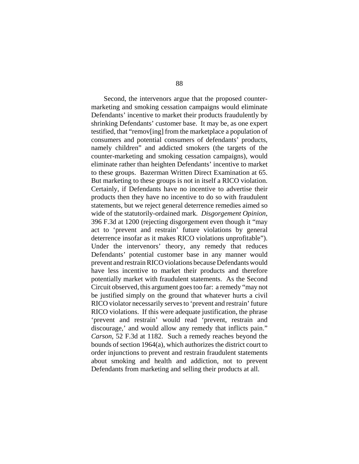Second, the intervenors argue that the proposed countermarketing and smoking cessation campaigns would eliminate Defendants' incentive to market their products fraudulently by shrinking Defendants' customer base. It may be, as one expert testified, that "remov[ing] from the marketplace a population of consumers and potential consumers of defendants' products, namely children" and addicted smokers (the targets of the counter-marketing and smoking cessation campaigns), would eliminate rather than heighten Defendants' incentive to market to these groups. Bazerman Written Direct Examination at 65. But marketing to these groups is not in itself a RICO violation. Certainly, if Defendants have no incentive to advertise their products then they have no incentive to do so with fraudulent statements, but we reject general deterrence remedies aimed so wide of the statutorily-ordained mark. *Disgorgement Opinion*, 396 F.3d at 1200 (rejecting disgorgement even though it "may act to 'prevent and restrain' future violations by general deterrence insofar as it makes RICO violations unprofitable"). Under the intervenors' theory, any remedy that reduces Defendants' potential customer base in any manner would prevent and restrain RICO violations because Defendants would have less incentive to market their products and therefore potentially market with fraudulent statements. As the Second Circuit observed, this argument goes too far: a remedy "may not be justified simply on the ground that whatever hurts a civil RICO violator necessarily serves to 'prevent and restrain' future RICO violations. If this were adequate justification, the phrase 'prevent and restrain' would read 'prevent, restrain and discourage,' and would allow any remedy that inflicts pain." *Carson*, 52 F.3d at 1182. Such a remedy reaches beyond the bounds of section 1964(a), which authorizes the district court to order injunctions to prevent and restrain fraudulent statements about smoking and health and addiction, not to prevent Defendants from marketing and selling their products at all.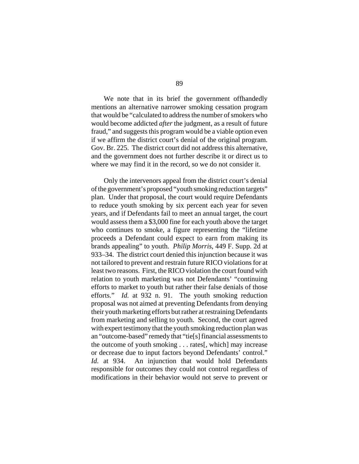We note that in its brief the government offhandedly mentions an alternative narrower smoking cessation program that would be "calculated to address the number of smokers who would become addicted *after* the judgment, as a result of future fraud," and suggests this program would be a viable option even if we affirm the district court's denial of the original program. Gov. Br. 225. The district court did not address this alternative, and the government does not further describe it or direct us to where we may find it in the record, so we do not consider it.

Only the intervenors appeal from the district court's denial of the government's proposed "youth smoking reduction targets" plan. Under that proposal, the court would require Defendants to reduce youth smoking by six percent each year for seven years, and if Defendants fail to meet an annual target, the court would assess them a \$3,000 fine for each youth above the target who continues to smoke, a figure representing the "lifetime proceeds a Defendant could expect to earn from making its brands appealing" to youth. *Philip Morris*, 449 F. Supp. 2d at 933–34. The district court denied this injunction because it was not tailored to prevent and restrain future RICO violations for at least two reasons. First, the RICO violation the court found with relation to youth marketing was not Defendants' "continuing efforts to market to youth but rather their false denials of those efforts." *Id.* at 932 n. 91. The youth smoking reduction proposal was not aimed at preventing Defendants from denying their youth marketing efforts but rather at restraining Defendants from marketing and selling to youth. Second, the court agreed with expert testimony that the youth smoking reduction plan was an "outcome-based" remedy that "tie[s] financial assessments to the outcome of youth smoking . . . rates[, which] may increase or decrease due to input factors beyond Defendants' control." *Id.* at 934. An injunction that would hold Defendants responsible for outcomes they could not control regardless of modifications in their behavior would not serve to prevent or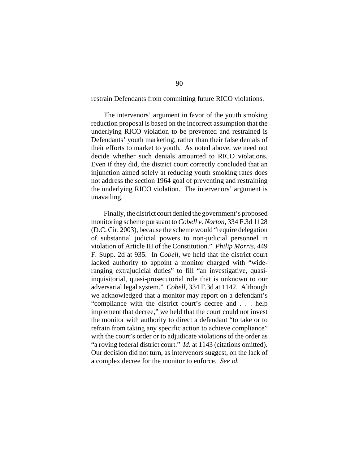restrain Defendants from committing future RICO violations.

The intervenors' argument in favor of the youth smoking reduction proposal is based on the incorrect assumption that the underlying RICO violation to be prevented and restrained is Defendants' youth marketing, rather than their false denials of their efforts to market to youth. As noted above, we need not decide whether such denials amounted to RICO violations. Even if they did, the district court correctly concluded that an injunction aimed solely at reducing youth smoking rates does not address the section 1964 goal of preventing and restraining the underlying RICO violation. The intervenors' argument is unavailing.

Finally, the district court denied the government's proposed monitoring scheme pursuant to *Cobell v. Norton*, 334 F.3d 1128 (D.C. Cir. 2003), because the scheme would "require delegation of substantial judicial powers to non-judicial personnel in violation of Article III of the Constitution." *Philip Morris*, 449 F. Supp. 2d at 935. In *Cobell*, we held that the district court lacked authority to appoint a monitor charged with "wideranging extrajudicial duties" to fill "an investigative, quasiinquisitorial, quasi-prosecutorial role that is unknown to our adversarial legal system." *Cobell*, 334 F.3d at 1142. Although we acknowledged that a monitor may report on a defendant's "compliance with the district court's decree and . . . help implement that decree," we held that the court could not invest the monitor with authority to direct a defendant "to take or to refrain from taking any specific action to achieve compliance" with the court's order or to adjudicate violations of the order as "a roving federal district court." *Id.* at 1143 (citations omitted). Our decision did not turn, as intervenors suggest, on the lack of a complex decree for the monitor to enforce. *See id.*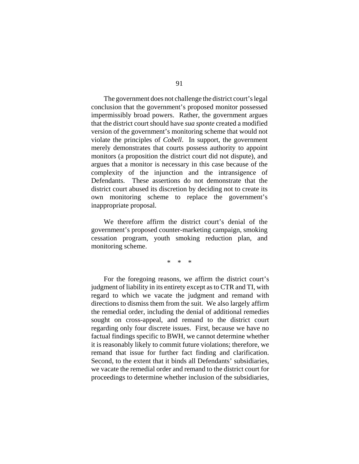The government does not challenge the district court's legal conclusion that the government's proposed monitor possessed impermissibly broad powers. Rather, the government argues that the district court should have *sua sponte* created a modified version of the government's monitoring scheme that would not violate the principles of *Cobell*. In support, the government merely demonstrates that courts possess authority to appoint monitors (a proposition the district court did not dispute), and argues that a monitor is necessary in this case because of the complexity of the injunction and the intransigence of Defendants. These assertions do not demonstrate that the district court abused its discretion by deciding not to create its own monitoring scheme to replace the government's inappropriate proposal.

We therefore affirm the district court's denial of the government's proposed counter-marketing campaign, smoking cessation program, youth smoking reduction plan, and monitoring scheme.

\* \* \*

For the foregoing reasons, we affirm the district court's judgment of liability in its entirety except as to CTR and TI, with regard to which we vacate the judgment and remand with directions to dismiss them from the suit. We also largely affirm the remedial order, including the denial of additional remedies sought on cross-appeal, and remand to the district court regarding only four discrete issues. First, because we have no factual findings specific to BWH, we cannot determine whether it is reasonably likely to commit future violations; therefore, we remand that issue for further fact finding and clarification. Second, to the extent that it binds all Defendants' subsidiaries, we vacate the remedial order and remand to the district court for proceedings to determine whether inclusion of the subsidiaries,